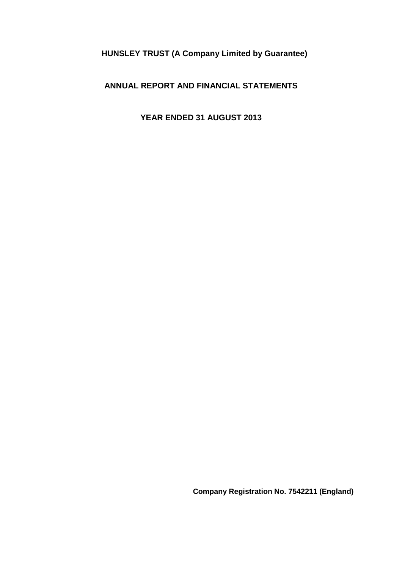# **HUNSLEY TRUST (A Company Limited by Guarantee)**

# **ANNUAL REPORT AND FINANCIAL STATEMENTS**

**YEAR ENDED 31 AUGUST 2013** 

**Company Registration No. 7542211 (England)**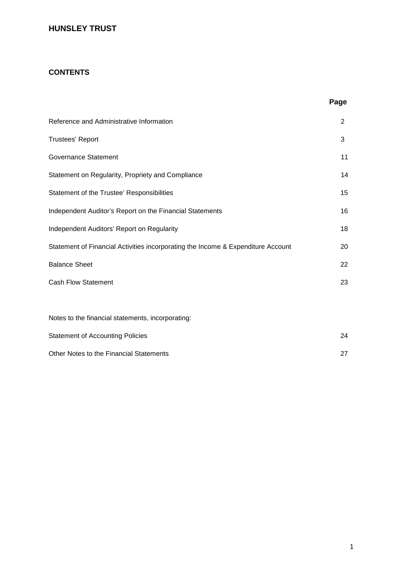# **CONTENTS**

|                                                                                  | Page |
|----------------------------------------------------------------------------------|------|
| Reference and Administrative Information                                         | 2    |
| Trustees' Report                                                                 | 3    |
| <b>Governance Statement</b>                                                      | 11   |
| Statement on Regularity, Propriety and Compliance                                | 14   |
| Statement of the Trustee' Responsibilities                                       | 15   |
| Independent Auditor's Report on the Financial Statements                         | 16   |
| Independent Auditors' Report on Regularity                                       | 18   |
| Statement of Financial Activities incorporating the Income & Expenditure Account | 20   |
| <b>Balance Sheet</b>                                                             | 22   |
| <b>Cash Flow Statement</b>                                                       | 23   |
|                                                                                  |      |
| Notes to the financial statements, incorporating:                                |      |
| <b>Statement of Accounting Policies</b>                                          | 24   |
| Other Notes to the Financial Statements                                          | 27   |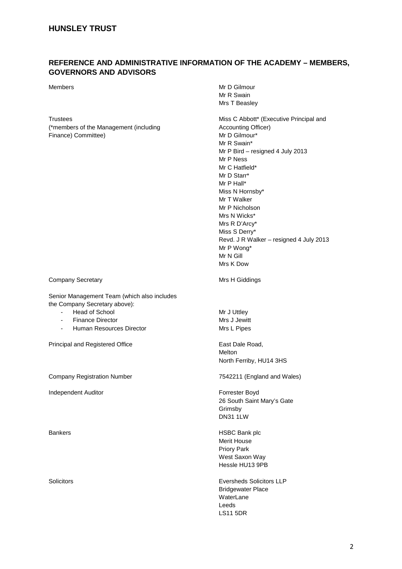# **REFERENCE AND ADMINISTRATIVE INFORMATION OF THE ACADEMY – MEMBERS, GOVERNORS AND ADVISORS**

(\*members of the Management (including and accounting Officer) Finance) Committee) and the committee of the committee of the committee of the committee of the committee of the committee of the committee of the committee of the committee of the committee of the committee of the committ

Company Secretary **Mrs** H Giddings

Senior Management Team (which also includes the Company Secretary above):

- Head of School Mr J Uttley
- Finance Director **Mrs** J Jewitt
- Human Resources Director Mrs L Pipes

Principal and Registered Office **East Dale Road,** 

Company Registration Number 7542211 (England and Wales)

Independent Auditor **Formulation** Forrester Boyd

Members Members Manual Accounts Manual Mr D Gilmour Mr R Swain Mrs T Beasley Trustees Miss C Abbott\* (Executive Principal and Mr R Swain\* Mr P Bird – resigned 4 July 2013 Mr P Ness Mr C Hatfield\* Mr D Starr\* Mr P Hall\* Miss N Hornsby\* Mr T Walker Mr P Nicholson Mrs N Wicks\* Mrs R D'Arcy\* Miss S Derry\* Revd. J R Walker – resigned 4 July 2013 Mr P Wong\* Mr N Gill Mrs K Dow

 Melton North Ferriby, HU14 3HS

 26 South Saint Mary's Gate Grimsby DN31 1LW

Bankers **HSBC Bank** plc Merit House Priory Park West Saxon Way Hessle HU13 9PB

Solicitors Eversheds Solicitors LLP Bridgewater Place **WaterLane Example 2018 Leeds** LS11 5DR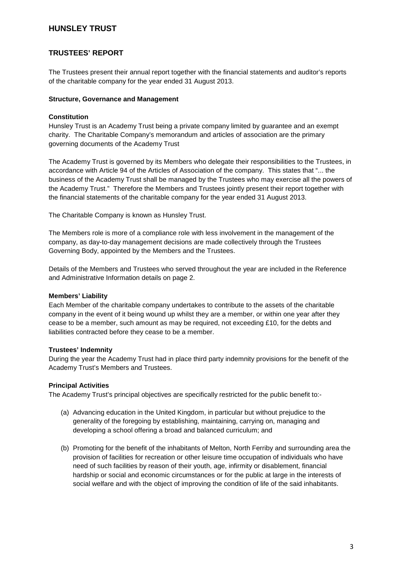## **TRUSTEES' REPORT**

The Trustees present their annual report together with the financial statements and auditor's reports of the charitable company for the year ended 31 August 2013.

## **Structure, Governance and Management**

## **Constitution**

Hunsley Trust is an Academy Trust being a private company limited by guarantee and an exempt charity. The Charitable Company's memorandum and articles of association are the primary governing documents of the Academy Trust

The Academy Trust is governed by its Members who delegate their responsibilities to the Trustees, in accordance with Article 94 of the Articles of Association of the company. This states that "... the business of the Academy Trust shall be managed by the Trustees who may exercise all the powers of the Academy Trust." Therefore the Members and Trustees jointly present their report together with the financial statements of the charitable company for the year ended 31 August 2013.

The Charitable Company is known as Hunsley Trust.

The Members role is more of a compliance role with less involvement in the management of the company, as day-to-day management decisions are made collectively through the Trustees Governing Body, appointed by the Members and the Trustees.

Details of the Members and Trustees who served throughout the year are included in the Reference and Administrative Information details on page 2.

#### **Members' Liability**

Each Member of the charitable company undertakes to contribute to the assets of the charitable company in the event of it being wound up whilst they are a member, or within one year after they cease to be a member, such amount as may be required, not exceeding  $£10$ , for the debts and liabilities contracted before they cease to be a member.

#### **Trustees' Indemnity**

During the year the Academy Trust had in place third party indemnity provisions for the benefit of the Academy Trust's Members and Trustees.

#### **Principal Activities**

The Academy Trust's principal objectives are specifically restricted for the public benefit to:-

- (a) Advancing education in the United Kingdom, in particular but without prejudice to the generality of the foregoing by establishing, maintaining, carrying on, managing and developing a school offering a broad and balanced curriculum; and
- (b) Promoting for the benefit of the inhabitants of Melton, North Ferriby and surrounding area the provision of facilities for recreation or other leisure time occupation of individuals who have need of such facilities by reason of their youth, age, infirmity or disablement, financial hardship or social and economic circumstances or for the public at large in the interests of social welfare and with the object of improving the condition of life of the said inhabitants.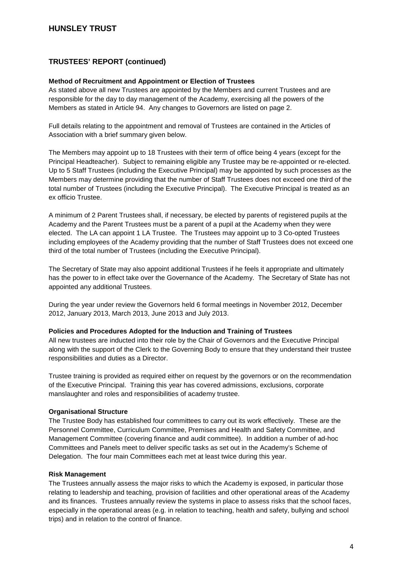# **TRUSTEES' REPORT (continued)**

#### **Method of Recruitment and Appointment or Election of Trustees**

As stated above all new Trustees are appointed by the Members and current Trustees and are responsible for the day to day management of the Academy, exercising all the powers of the Members as stated in Article 94. Any changes to Governors are listed on page 2.

Full details relating to the appointment and removal of Trustees are contained in the Articles of Association with a brief summary given below.

The Members may appoint up to 18 Trustees with their term of office being 4 years (except for the Principal Headteacher). Subject to remaining eligible any Trustee may be re-appointed or re-elected. Up to 5 Staff Trustees (including the Executive Principal) may be appointed by such processes as the Members may determine providing that the number of Staff Trustees does not exceed one third of the total number of Trustees (including the Executive Principal). The Executive Principal is treated as an ex officio Trustee.

A minimum of 2 Parent Trustees shall, if necessary, be elected by parents of registered pupils at the Academy and the Parent Trustees must be a parent of a pupil at the Academy when they were elected. The LA can appoint 1 LA Trustee. The Trustees may appoint up to 3 Co-opted Trustees including employees of the Academy providing that the number of Staff Trustees does not exceed one third of the total number of Trustees (including the Executive Principal).

The Secretary of State may also appoint additional Trustees if he feels it appropriate and ultimately has the power to in effect take over the Governance of the Academy. The Secretary of State has not appointed any additional Trustees.

During the year under review the Governors held 6 formal meetings in November 2012, December 2012, January 2013, March 2013, June 2013 and July 2013.

#### **Policies and Procedures Adopted for the Induction and Training of Trustees**

All new trustees are inducted into their role by the Chair of Governors and the Executive Principal along with the support of the Clerk to the Governing Body to ensure that they understand their trustee responsibilities and duties as a Director.

Trustee training is provided as required either on request by the governors or on the recommendation of the Executive Principal. Training this year has covered admissions, exclusions, corporate manslaughter and roles and responsibilities of academy trustee.

#### **Organisational Structure**

The Trustee Body has established four committees to carry out its work effectively. These are the Personnel Committee, Curriculum Committee, Premises and Health and Safety Committee, and Management Committee (covering finance and audit committee). In addition a number of ad-hoc Committees and Panels meet to deliver specific tasks as set out in the Academy's Scheme of Delegation. The four main Committees each met at least twice during this year.

#### **Risk Management**

The Trustees annually assess the major risks to which the Academy is exposed, in particular those relating to leadership and teaching, provision of facilities and other operational areas of the Academy and its finances. Trustees annually review the systems in place to assess risks that the school faces, especially in the operational areas (e.g. in relation to teaching, health and safety, bullying and school trips) and in relation to the control of finance.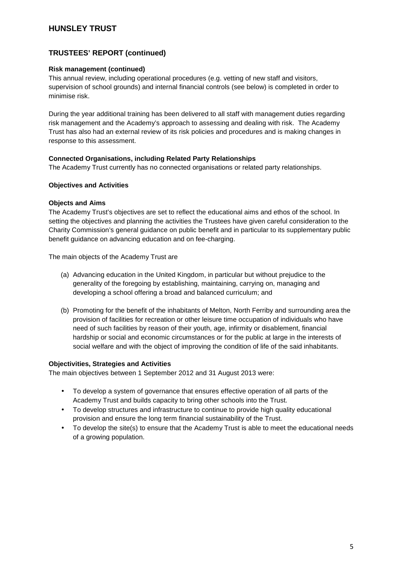# **TRUSTEES' REPORT (continued)**

### **Risk management (continued)**

This annual review, including operational procedures (e.g. vetting of new staff and visitors, supervision of school grounds) and internal financial controls (see below) is completed in order to minimise risk.

During the year additional training has been delivered to all staff with management duties regarding risk management and the Academy's approach to assessing and dealing with risk. The Academy Trust has also had an external review of its risk policies and procedures and is making changes in response to this assessment.

#### **Connected Organisations, including Related Party Relationships**

The Academy Trust currently has no connected organisations or related party relationships.

#### **Objectives and Activities**

#### **Objects and Aims**

The Academy Trust's objectives are set to reflect the educational aims and ethos of the school. In setting the objectives and planning the activities the Trustees have given careful consideration to the Charity Commission's general guidance on public benefit and in particular to its supplementary public benefit guidance on advancing education and on fee-charging.

The main objects of the Academy Trust are

- (a) Advancing education in the United Kingdom, in particular but without prejudice to the generality of the foregoing by establishing, maintaining, carrying on, managing and developing a school offering a broad and balanced curriculum; and
- (b) Promoting for the benefit of the inhabitants of Melton, North Ferriby and surrounding area the provision of facilities for recreation or other leisure time occupation of individuals who have need of such facilities by reason of their youth, age, infirmity or disablement, financial hardship or social and economic circumstances or for the public at large in the interests of social welfare and with the object of improving the condition of life of the said inhabitants.

#### **Objectivities, Strategies and Activities**

The main objectives between 1 September 2012 and 31 August 2013 were:

- To develop a system of governance that ensures effective operation of all parts of the Academy Trust and builds capacity to bring other schools into the Trust.
- To develop structures and infrastructure to continue to provide high quality educational provision and ensure the long term financial sustainability of the Trust.
- To develop the site(s) to ensure that the Academy Trust is able to meet the educational needs of a growing population.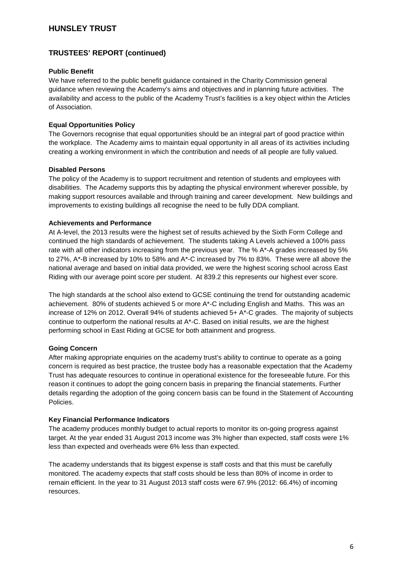# **TRUSTEES' REPORT (continued)**

#### **Public Benefit**

We have referred to the public benefit guidance contained in the Charity Commission general guidance when reviewing the Academy's aims and objectives and in planning future activities. The availability and access to the public of the Academy Trust's facilities is a key object within the Articles of Association.

## **Equal Opportunities Policy**

The Governors recognise that equal opportunities should be an integral part of good practice within the workplace. The Academy aims to maintain equal opportunity in all areas of its activities including creating a working environment in which the contribution and needs of all people are fully valued.

#### **Disabled Persons**

The policy of the Academy is to support recruitment and retention of students and employees with disabilities. The Academy supports this by adapting the physical environment wherever possible, by making support resources available and through training and career development. New buildings and improvements to existing buildings all recognise the need to be fully DDA compliant.

#### **Achievements and Performance**

At A-level, the 2013 results were the highest set of results achieved by the Sixth Form College and continued the high standards of achievement. The students taking A Levels achieved a 100% pass rate with all other indicators increasing from the previous year. The % A\*-A grades increased by 5% to 27%, A\*-B increased by 10% to 58% and A\*-C increased by 7% to 83%. These were all above the national average and based on initial data provided, we were the highest scoring school across East Riding with our average point score per student. At 839.2 this represents our highest ever score.

The high standards at the school also extend to GCSE continuing the trend for outstanding academic achievement. 80% of students achieved 5 or more A\*-C including English and Maths. This was an increase of 12% on 2012. Overall 94% of students achieved 5+ A\*-C grades. The majority of subjects continue to outperform the national results at A\*-C. Based on initial results, we are the highest performing school in East Riding at GCSE for both attainment and progress.

#### **Going Concern**

After making appropriate enquiries on the academy trust's ability to continue to operate as a going concern is required as best practice, the trustee body has a reasonable expectation that the Academy Trust has adequate resources to continue in operational existence for the foreseeable future. For this reason it continues to adopt the going concern basis in preparing the financial statements. Further details regarding the adoption of the going concern basis can be found in the Statement of Accounting Policies.

#### **Key Financial Performance Indicators**

The academy produces monthly budget to actual reports to monitor its on-going progress against target. At the year ended 31 August 2013 income was 3% higher than expected, staff costs were 1% less than expected and overheads were 6% less than expected.

The academy understands that its biggest expense is staff costs and that this must be carefully monitored. The academy expects that staff costs should be less than 80% of income in order to remain efficient. In the year to 31 August 2013 staff costs were 67.9% (2012: 66.4%) of incoming resources.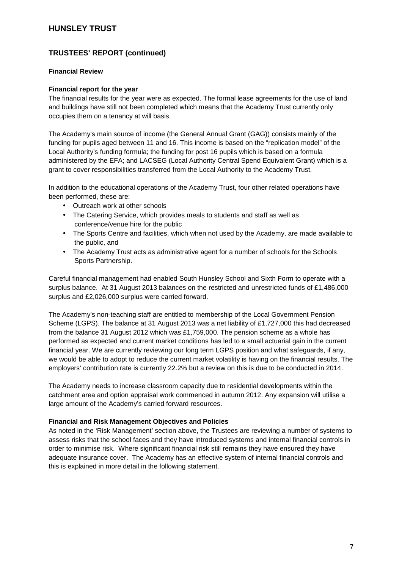# **TRUSTEES' REPORT (continued)**

#### **Financial Review**

## **Financial report for the year**

The financial results for the year were as expected. The formal lease agreements for the use of land and buildings have still not been completed which means that the Academy Trust currently only occupies them on a tenancy at will basis.

The Academy's main source of income (the General Annual Grant (GAG)) consists mainly of the funding for pupils aged between 11 and 16. This income is based on the "replication model" of the Local Authority's funding formula; the funding for post 16 pupils which is based on a formula administered by the EFA; and LACSEG (Local Authority Central Spend Equivalent Grant) which is a grant to cover responsibilities transferred from the Local Authority to the Academy Trust.

In addition to the educational operations of the Academy Trust, four other related operations have been performed, these are:

- Outreach work at other schools
- The Catering Service, which provides meals to students and staff as well as conference/venue hire for the public
- The Sports Centre and facilities, which when not used by the Academy, are made available to the public, and
- The Academy Trust acts as administrative agent for a number of schools for the Schools Sports Partnership.

Careful financial management had enabled South Hunsley School and Sixth Form to operate with a surplus balance. At 31 August 2013 balances on the restricted and unrestricted funds of £1,486,000 surplus and £2,026,000 surplus were carried forward.

The Academy's non-teaching staff are entitled to membership of the Local Government Pension Scheme (LGPS). The balance at 31 August 2013 was a net liability of £1,727,000 this had decreased from the balance 31 August 2012 which was £1,759,000. The pension scheme as a whole has performed as expected and current market conditions has led to a small actuarial gain in the current financial year. We are currently reviewing our long term LGPS position and what safeguards, if any, we would be able to adopt to reduce the current market volatility is having on the financial results. The employers' contribution rate is currently 22.2% but a review on this is due to be conducted in 2014.

The Academy needs to increase classroom capacity due to residential developments within the catchment area and option appraisal work commenced in autumn 2012. Any expansion will utilise a large amount of the Academy's carried forward resources.

#### **Financial and Risk Management Objectives and Policies**

As noted in the 'Risk Management' section above, the Trustees are reviewing a number of systems to assess risks that the school faces and they have introduced systems and internal financial controls in order to minimise risk. Where significant financial risk still remains they have ensured they have adequate insurance cover. The Academy has an effective system of internal financial controls and this is explained in more detail in the following statement.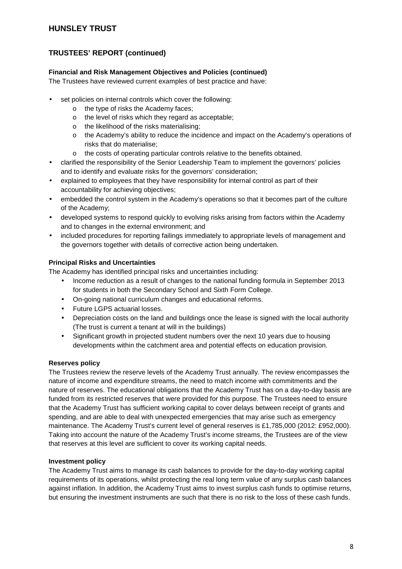# **TRUSTEES' REPORT (continued)**

## **Financial and Risk Management Objectives and Policies (continued)**

The Trustees have reviewed current examples of best practice and have:

- set policies on internal controls which cover the following:
	- o the type of risks the Academy faces;
	- o the level of risks which they regard as acceptable;
	- o the likelihood of the risks materialising;
	- o the Academy's ability to reduce the incidence and impact on the Academy's operations of risks that do materialise;
	- o the costs of operating particular controls relative to the benefits obtained.
- clarified the responsibility of the Senior Leadership Team to implement the governors' policies and to identify and evaluate risks for the governors' consideration;
- explained to employees that they have responsibility for internal control as part of their accountability for achieving objectives;
- embedded the control system in the Academy's operations so that it becomes part of the culture of the Academy;
- developed systems to respond quickly to evolving risks arising from factors within the Academy and to changes in the external environment; and
- included procedures for reporting failings immediately to appropriate levels of management and the governors together with details of corrective action being undertaken.

## **Principal Risks and Uncertainties**

The Academy has identified principal risks and uncertainties including:

- Income reduction as a result of changes to the national funding formula in September 2013 for students in both the Secondary School and Sixth Form College.
- On-going national curriculum changes and educational reforms.
- Future LGPS actuarial losses.
- Depreciation costs on the land and buildings once the lease is signed with the local authority (The trust is current a tenant at will in the buildings)
- Significant growth in projected student numbers over the next 10 years due to housing developments within the catchment area and potential effects on education provision.

#### **Reserves policy**

The Trustees review the reserve levels of the Academy Trust annually. The review encompasses the nature of income and expenditure streams, the need to match income with commitments and the nature of reserves. The educational obligations that the Academy Trust has on a day-to-day basis are funded from its restricted reserves that were provided for this purpose. The Trustees need to ensure that the Academy Trust has sufficient working capital to cover delays between receipt of grants and spending, and are able to deal with unexpected emergencies that may arise such as emergency maintenance. The Academy Trust's current level of general reserves is £1,785,000 (2012: £952,000). Taking into account the nature of the Academy Trust's income streams, the Trustees are of the view that reserves at this level are sufficient to cover its working capital needs.

#### **Investment policy**

The Academy Trust aims to manage its cash balances to provide for the day-to-day working capital requirements of its operations, whilst protecting the real long term value of any surplus cash balances against inflation. In addition, the Academy Trust aims to invest surplus cash funds to optimise returns, but ensuring the investment instruments are such that there is no risk to the loss of these cash funds.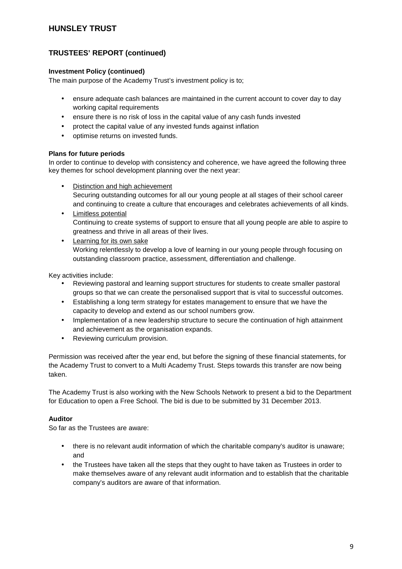# **TRUSTEES' REPORT (continued)**

## **Investment Policy (continued)**

The main purpose of the Academy Trust's investment policy is to;

- ensure adequate cash balances are maintained in the current account to cover day to day working capital requirements
- ensure there is no risk of loss in the capital value of any cash funds invested
- protect the capital value of any invested funds against inflation
- optimise returns on invested funds.

## **Plans for future periods**

In order to continue to develop with consistency and coherence, we have agreed the following three key themes for school development planning over the next year:

- Distinction and high achievement Securing outstanding outcomes for all our young people at all stages of their school career and continuing to create a culture that encourages and celebrates achievements of all kinds.
- Limitless potential Continuing to create systems of support to ensure that all young people are able to aspire to greatness and thrive in all areas of their lives.
- Learning for its own sake Working relentlessly to develop a love of learning in our young people through focusing on outstanding classroom practice, assessment, differentiation and challenge.

Key activities include:

- Reviewing pastoral and learning support structures for students to create smaller pastoral groups so that we can create the personalised support that is vital to successful outcomes.
- Establishing a long term strategy for estates management to ensure that we have the capacity to develop and extend as our school numbers grow.
- Implementation of a new leadership structure to secure the continuation of high attainment and achievement as the organisation expands.
- Reviewing curriculum provision.

Permission was received after the year end, but before the signing of these financial statements, for the Academy Trust to convert to a Multi Academy Trust. Steps towards this transfer are now being taken.

The Academy Trust is also working with the New Schools Network to present a bid to the Department for Education to open a Free School. The bid is due to be submitted by 31 December 2013.

#### **Auditor**

So far as the Trustees are aware:

- there is no relevant audit information of which the charitable company's auditor is unaware; and
- the Trustees have taken all the steps that they ought to have taken as Trustees in order to make themselves aware of any relevant audit information and to establish that the charitable company's auditors are aware of that information.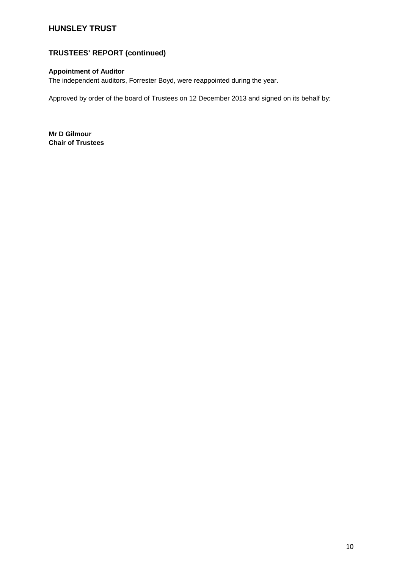# **TRUSTEES' REPORT (continued)**

## **Appointment of Auditor**

The independent auditors, Forrester Boyd, were reappointed during the year.

Approved by order of the board of Trustees on 12 December 2013 and signed on its behalf by:

**Mr D Gilmour Chair of Trustees**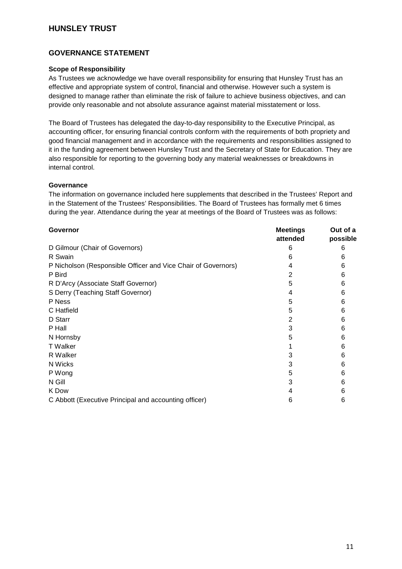# **GOVERNANCE STATEMENT**

### **Scope of Responsibility**

As Trustees we acknowledge we have overall responsibility for ensuring that Hunsley Trust has an effective and appropriate system of control, financial and otherwise. However such a system is designed to manage rather than eliminate the risk of failure to achieve business objectives, and can provide only reasonable and not absolute assurance against material misstatement or loss.

The Board of Trustees has delegated the day-to-day responsibility to the Executive Principal, as accounting officer, for ensuring financial controls conform with the requirements of both propriety and good financial management and in accordance with the requirements and responsibilities assigned to it in the funding agreement between Hunsley Trust and the Secretary of State for Education. They are also responsible for reporting to the governing body any material weaknesses or breakdowns in internal control.

#### **Governance**

The information on governance included here supplements that described in the Trustees' Report and in the Statement of the Trustees' Responsibilities. The Board of Trustees has formally met 6 times during the year. Attendance during the year at meetings of the Board of Trustees was as follows:

| Governor                                                      | <b>Meetings</b><br>attended | Out of a<br>possible |
|---------------------------------------------------------------|-----------------------------|----------------------|
| D Gilmour (Chair of Governors)                                | 6                           | 6                    |
| R Swain                                                       | 6                           | 6                    |
| P Nicholson (Responsible Officer and Vice Chair of Governors) | 4                           | 6                    |
| P Bird                                                        | 2                           | 6                    |
| R D'Arcy (Associate Staff Governor)                           | 5                           | 6                    |
| S Derry (Teaching Staff Governor)                             | 4                           | 6                    |
| P Ness                                                        | 5                           | 6                    |
| C Hatfield                                                    | 5                           | 6                    |
| D Starr                                                       | 2                           | 6                    |
| P Hall                                                        | 3                           | 6                    |
| N Hornsby                                                     | 5                           | 6                    |
| <b>T</b> Walker                                               |                             | 6                    |
| R Walker                                                      | 3                           | 6                    |
| N Wicks                                                       | 3                           | 6                    |
| P Wong                                                        | 5                           | 6                    |
| N Gill                                                        | 3                           | 6                    |
| K Dow                                                         | 4                           |                      |
| C Abbott (Executive Principal and accounting officer)         | 6                           | 6                    |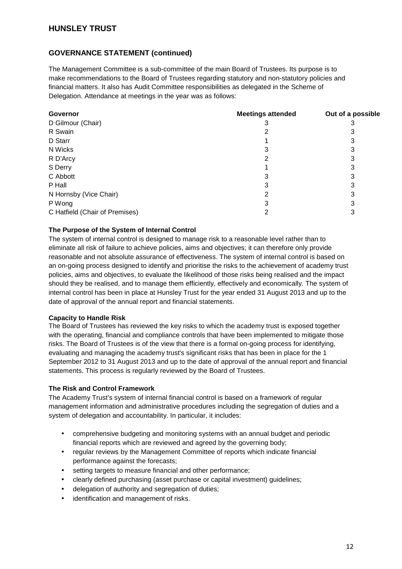# **GOVERNANCE STATEMENT (continued)**

The Management Committee is a sub-committee of the main Board of Trustees. Its purpose is to make recommendations to the Board of Trustees regarding statutory and non-statutory policies and financial matters. It also has Audit Committee responsibilities as delegated in the Scheme of Delegation. Attendance at meetings in the year was as follows:

| Governor                       | <b>Meetings attended</b> | Out of a possible |
|--------------------------------|--------------------------|-------------------|
| D Gilmour (Chair)              |                          |                   |
| R Swain                        |                          |                   |
| D Starr                        |                          |                   |
| N Wicks                        |                          | 3                 |
| R D'Arcy                       |                          | 3                 |
| S Derry                        |                          | 3                 |
| C Abbott                       |                          | 3                 |
| P Hall                         |                          | 3                 |
| N Hornsby (Vice Chair)         |                          | 3                 |
| P Wong                         | З                        | 3                 |
| C Hatfield (Chair of Premises) |                          | 3                 |

## **The Purpose of the System of Internal Control**

The system of internal control is designed to manage risk to a reasonable level rather than to eliminate all risk of failure to achieve policies, aims and objectives; it can therefore only provide reasonable and not absolute assurance of effectiveness. The system of internal control is based on an on-going process designed to identify and prioritise the risks to the achievement of academy trust policies, aims and objectives, to evaluate the likelihood of those risks being realised and the impact should they be realised, and to manage them efficiently, effectively and economically. The system of internal control has been in place at Hunsley Trust for the year ended 31 August 2013 and up to the date of approval of the annual report and financial statements.

#### **Capacity to Handle Risk**

The Board of Trustees has reviewed the key risks to which the academy trust is exposed together with the operating, financial and compliance controls that have been implemented to mitigate those risks. The Board of Trustees is of the view that there is a formal on-going process for identifying, evaluating and managing the academy trust's significant risks that has been in place for the 1 September 2012 to 31 August 2013 and up to the date of approval of the annual report and financial statements. This process is regularly reviewed by the Board of Trustees.

#### **The Risk and Control Framework**

The Academy Trust's system of internal financial control is based on a framework of regular management information and administrative procedures including the segregation of duties and a system of delegation and accountability. In particular, it includes:

- comprehensive budgeting and monitoring systems with an annual budget and periodic financial reports which are reviewed and agreed by the governing body;
- regular reviews by the Management Committee of reports which indicate financial performance against the forecasts;
- setting targets to measure financial and other performance:
- clearly defined purchasing (asset purchase or capital investment) guidelines;
- delegation of authority and segregation of duties;
- identification and management of risks.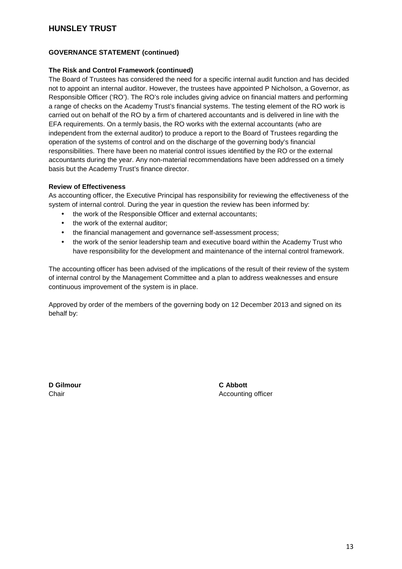## **GOVERNANCE STATEMENT (continued)**

#### **The Risk and Control Framework (continued)**

The Board of Trustees has considered the need for a specific internal audit function and has decided not to appoint an internal auditor. However, the trustees have appointed P Nicholson, a Governor, as Responsible Officer ('RO'). The RO's role includes giving advice on financial matters and performing a range of checks on the Academy Trust's financial systems. The testing element of the RO work is carried out on behalf of the RO by a firm of chartered accountants and is delivered in line with the EFA requirements. On a termly basis, the RO works with the external accountants (who are independent from the external auditor) to produce a report to the Board of Trustees regarding the operation of the systems of control and on the discharge of the governing body's financial responsibilities. There have been no material control issues identified by the RO or the external accountants during the year. Any non-material recommendations have been addressed on a timely basis but the Academy Trust's finance director.

#### **Review of Effectiveness**

As accounting officer, the Executive Principal has responsibility for reviewing the effectiveness of the system of internal control. During the year in question the review has been informed by:

- the work of the Responsible Officer and external accountants;
- the work of the external auditor:
- the financial management and governance self-assessment process;
- the work of the senior leadership team and executive board within the Academy Trust who have responsibility for the development and maintenance of the internal control framework.

The accounting officer has been advised of the implications of the result of their review of the system of internal control by the Management Committee and a plan to address weaknesses and ensure continuous improvement of the system is in place.

Approved by order of the members of the governing body on 12 December 2013 and signed on its behalf by:

**D Gilmour C Abbott** 

Chair **Chair Chair Chair Chair Chair Chair Chair Chair Chair Chair Chair Chair Chair Chair Chair Chair Chair Chair Chair Chair Chair Chair Chair Chair Chair Chair Chair**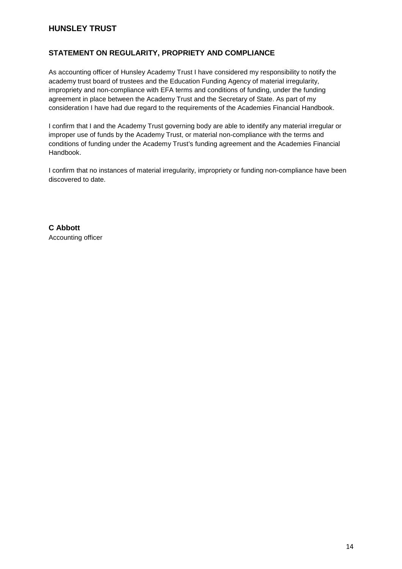# **STATEMENT ON REGULARITY, PROPRIETY AND COMPLIANCE**

As accounting officer of Hunsley Academy Trust I have considered my responsibility to notify the academy trust board of trustees and the Education Funding Agency of material irregularity, impropriety and non-compliance with EFA terms and conditions of funding, under the funding agreement in place between the Academy Trust and the Secretary of State. As part of my consideration I have had due regard to the requirements of the Academies Financial Handbook.

I confirm that I and the Academy Trust governing body are able to identify any material irregular or improper use of funds by the Academy Trust, or material non-compliance with the terms and conditions of funding under the Academy Trust's funding agreement and the Academies Financial Handbook.

I confirm that no instances of material irregularity, impropriety or funding non-compliance have been discovered to date.

**C Abbott**  Accounting officer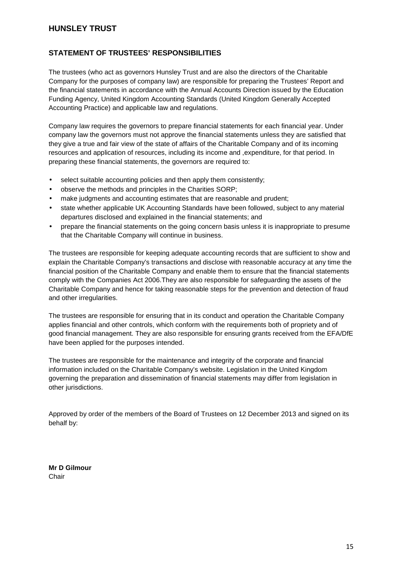# **STATEMENT OF TRUSTEES' RESPONSIBILITIES**

The trustees (who act as governors Hunsley Trust and are also the directors of the Charitable Company for the purposes of company law) are responsible for preparing the Trustees' Report and the financial statements in accordance with the Annual Accounts Direction issued by the Education Funding Agency, United Kingdom Accounting Standards (United Kingdom Generally Accepted Accounting Practice) and applicable law and regulations.

Company law requires the governors to prepare financial statements for each financial year. Under company law the governors must not approve the financial statements unless they are satisfied that they give a true and fair view of the state of affairs of the Charitable Company and of its incoming resources and application of resources, including its income and ,expenditure, for that period. In preparing these financial statements, the governors are required to:

- select suitable accounting policies and then apply them consistently;
- observe the methods and principles in the Charities SORP;
- make judgments and accounting estimates that are reasonable and prudent;
- state whether applicable UK Accounting Standards have been followed, subject to any material departures disclosed and explained in the financial statements; and
- prepare the financial statements on the going concern basis unless it is inappropriate to presume that the Charitable Company will continue in business.

The trustees are responsible for keeping adequate accounting records that are sufficient to show and explain the Charitable Company's transactions and disclose with reasonable accuracy at any time the financial position of the Charitable Company and enable them to ensure that the financial statements comply with the Companies Act 2006.They are also responsible for safeguarding the assets of the Charitable Company and hence for taking reasonable steps for the prevention and detection of fraud and other irregularities.

The trustees are responsible for ensuring that in its conduct and operation the Charitable Company applies financial and other controls, which conform with the requirements both of propriety and of good financial management. They are also responsible for ensuring grants received from the EFA/DfE have been applied for the purposes intended.

The trustees are responsible for the maintenance and integrity of the corporate and financial information included on the Charitable Company's website. Legislation in the United Kingdom governing the preparation and dissemination of financial statements may differ from legislation in other jurisdictions.

Approved by order of the members of the Board of Trustees on 12 December 2013 and signed on its behalf by:

**Mr D Gilmour Chair**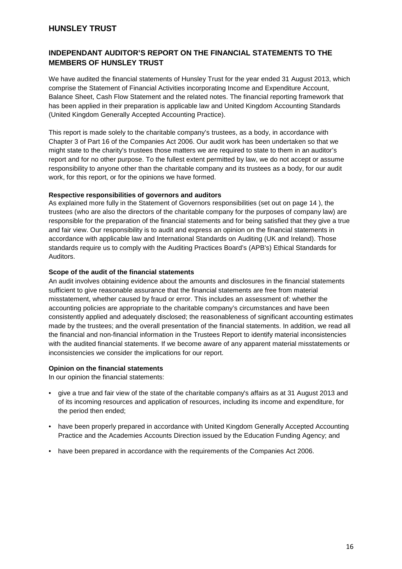# **INDEPENDANT AUDITOR'S REPORT ON THE FINANCIAL STATEMENTS TO THE MEMBERS OF HUNSLEY TRUST**

We have audited the financial statements of Hunsley Trust for the year ended 31 August 2013, which comprise the Statement of Financial Activities incorporating Income and Expenditure Account, Balance Sheet, Cash Flow Statement and the related notes. The financial reporting framework that has been applied in their preparation is applicable law and United Kingdom Accounting Standards (United Kingdom Generally Accepted Accounting Practice).

This report is made solely to the charitable company's trustees, as a body, in accordance with Chapter 3 of Part 16 of the Companies Act 2006. Our audit work has been undertaken so that we might state to the charity's trustees those matters we are required to state to them in an auditor's report and for no other purpose. To the fullest extent permitted by law, we do not accept or assume responsibility to anyone other than the charitable company and its trustees as a body, for our audit work, for this report, or for the opinions we have formed.

#### **Respective responsibilities of governors and auditors**

As explained more fully in the Statement of Governors responsibilities (set out on page 14 ), the trustees (who are also the directors of the charitable company for the purposes of company law) are responsible for the preparation of the financial statements and for being satisfied that they give a true and fair view. Our responsibility is to audit and express an opinion on the financial statements in accordance with applicable law and International Standards on Auditing (UK and Ireland). Those standards require us to comply with the Auditing Practices Board's (APB's) Ethical Standards for Auditors.

## **Scope of the audit of the financial statements**

An audit involves obtaining evidence about the amounts and disclosures in the financial statements sufficient to give reasonable assurance that the financial statements are free from material misstatement, whether caused by fraud or error. This includes an assessment of: whether the accounting policies are appropriate to the charitable company's circumstances and have been consistently applied and adequately disclosed; the reasonableness of significant accounting estimates made by the trustees; and the overall presentation of the financial statements. In addition, we read all the financial and non-financial information in the Trustees Report to identify material inconsistencies with the audited financial statements. If we become aware of any apparent material misstatements or inconsistencies we consider the implications for our report.

#### **Opinion on the financial statements**

In our opinion the financial statements:

- give a true and fair view of the state of the charitable company's affairs as at 31 August 2013 and of its incoming resources and application of resources, including its income and expenditure, for the period then ended;
- have been properly prepared in accordance with United Kingdom Generally Accepted Accounting Practice and the Academies Accounts Direction issued by the Education Funding Agency; and
- have been prepared in accordance with the requirements of the Companies Act 2006.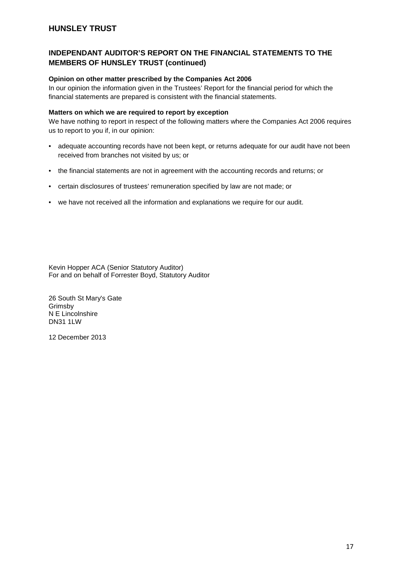# **INDEPENDANT AUDITOR'S REPORT ON THE FINANCIAL STATEMENTS TO THE MEMBERS OF HUNSLEY TRUST (continued)**

#### **Opinion on other matter prescribed by the Companies Act 2006**

In our opinion the information given in the Trustees' Report for the financial period for which the financial statements are prepared is consistent with the financial statements.

#### **Matters on which we are required to report by exception**

We have nothing to report in respect of the following matters where the Companies Act 2006 requires us to report to you if, in our opinion:

- adequate accounting records have not been kept, or returns adequate for our audit have not been received from branches not visited by us; or
- the financial statements are not in agreement with the accounting records and returns; or
- certain disclosures of trustees' remuneration specified by law are not made; or
- we have not received all the information and explanations we require for our audit.

Kevin Hopper ACA (Senior Statutory Auditor) For and on behalf of Forrester Boyd, Statutory Auditor

26 South St Mary's Gate Grimsby N E Lincolnshire DN31 1LW

12 December 2013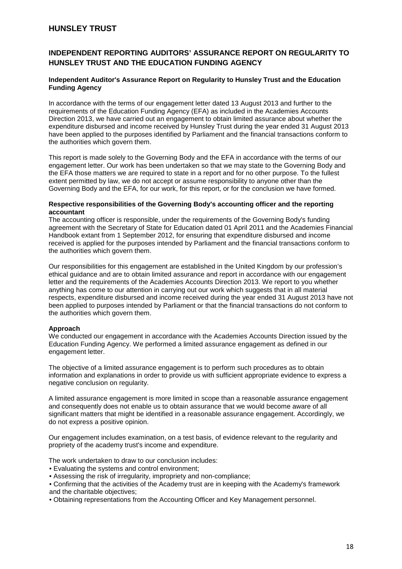# **INDEPENDENT REPORTING AUDITORS' ASSURANCE REPORT ON REGULARITY TO HUNSLEY TRUST AND THE EDUCATION FUNDING AGENCY**

#### **Independent Auditor's Assurance Report on Regularity to Hunsley Trust and the Education Funding Agency**

In accordance with the terms of our engagement letter dated 13 August 2013 and further to the requirements of the Education Funding Agency (EFA) as included in the Academies Accounts Direction 2013, we have carried out an engagement to obtain limited assurance about whether the expenditure disbursed and income received by Hunsley Trust during the year ended 31 August 2013 have been applied to the purposes identified by Parliament and the financial transactions conform to the authorities which govern them.

This report is made solely to the Governing Body and the EFA in accordance with the terms of our engagement letter. Our work has been undertaken so that we may state to the Governing Body and the EFA those matters we are required to state in a report and for no other purpose. To the fullest extent permitted by law, we do not accept or assume responsibility to anyone other than the Governing Body and the EFA, for our work, for this report, or for the conclusion we have formed.

#### **Respective responsibilities of the Governing Body's accounting officer and the reporting accountant**

The accounting officer is responsible, under the requirements of the Governing Body's funding agreement with the Secretary of State for Education dated 01 April 2011 and the Academies Financial Handbook extant from 1 September 2012, for ensuring that expenditure disbursed and income received is applied for the purposes intended by Parliament and the financial transactions conform to the authorities which govern them.

Our responsibilities for this engagement are established in the United Kingdom by our profession's ethical guidance and are to obtain limited assurance and report in accordance with our engagement letter and the requirements of the Academies Accounts Direction 2013. We report to you whether anything has come to our attention in carrying out our work which suggests that in all material respects, expenditure disbursed and income received during the year ended 31 August 2013 have not been applied to purposes intended by Parliament or that the financial transactions do not conform to the authorities which govern them.

#### **Approach**

We conducted our engagement in accordance with the Academies Accounts Direction issued by the Education Funding Agency. We performed a limited assurance engagement as defined in our engagement letter.

The objective of a limited assurance engagement is to perform such procedures as to obtain information and explanations in order to provide us with sufficient appropriate evidence to express a negative conclusion on regularity.

A limited assurance engagement is more limited in scope than a reasonable assurance engagement and consequently does not enable us to obtain assurance that we would become aware of all significant matters that might be identified in a reasonable assurance engagement. Accordingly, we do not express a positive opinion.

Our engagement includes examination, on a test basis, of evidence relevant to the regularity and propriety of the academy trust's income and expenditure.

The work undertaken to draw to our conclusion includes:

- Evaluating the systems and control environment;
- Assessing the risk of irregularity, impropriety and non-compliance;

• Confirming that the activities of the Academy trust are in keeping with the Academy's framework and the charitable objectives;

• Obtaining representations from the Accounting Officer and Key Management personnel.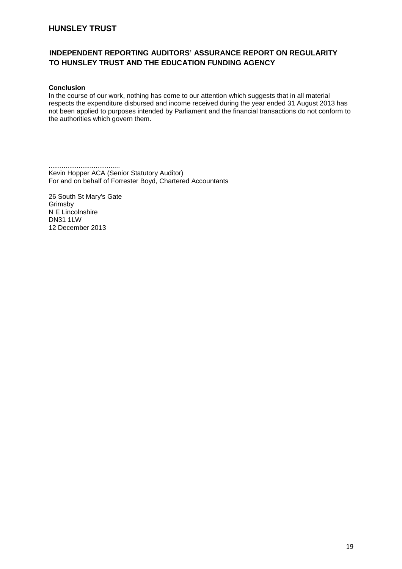# **INDEPENDENT REPORTING AUDITORS' ASSURANCE REPORT ON REGULARITY TO HUNSLEY TRUST AND THE EDUCATION FUNDING AGENCY**

#### **Conclusion**

In the course of our work, nothing has come to our attention which suggests that in all material respects the expenditure disbursed and income received during the year ended 31 August 2013 has not been applied to purposes intended by Parliament and the financial transactions do not conform to the authorities which govern them.

...................................... Kevin Hopper ACA (Senior Statutory Auditor) For and on behalf of Forrester Boyd, Chartered Accountants

26 South St Mary's Gate Grimsby N E Lincolnshire DN31 1LW 12 December 2013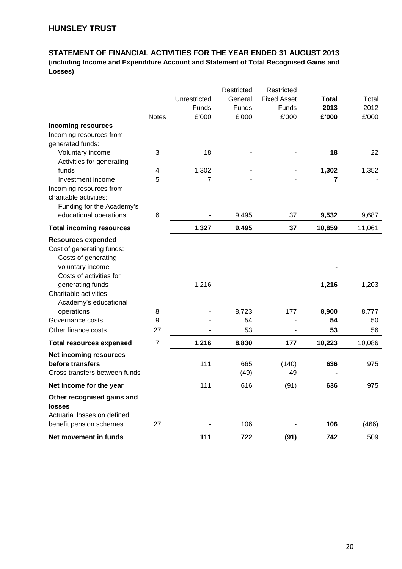# **STATEMENT OF FINANCIAL ACTIVITIES FOR THE YEAR ENDED 31 AUGUST 2013 (including Income and Expenditure Account and Statement of Total Recognised Gains and Losses)**

|                                 |                  |              | Restricted | Restricted         |              |        |
|---------------------------------|------------------|--------------|------------|--------------------|--------------|--------|
|                                 |                  | Unrestricted | General    | <b>Fixed Asset</b> | <b>Total</b> | Total  |
|                                 |                  | Funds        | Funds      | Funds              | 2013         | 2012   |
|                                 | <b>Notes</b>     | £'000        | £'000      | £'000              | £'000        | £'000  |
| <b>Incoming resources</b>       |                  |              |            |                    |              |        |
| Incoming resources from         |                  |              |            |                    |              |        |
| generated funds:                |                  |              |            |                    |              |        |
| Voluntary income                | 3                | 18           |            |                    | 18           | 22     |
| Activities for generating       |                  |              |            |                    |              |        |
| funds                           | 4                | 1,302        |            |                    | 1,302        | 1,352  |
| Investment income               | 5                | 7            |            |                    | 7            |        |
| Incoming resources from         |                  |              |            |                    |              |        |
| charitable activities:          |                  |              |            |                    |              |        |
| Funding for the Academy's       |                  |              |            |                    |              |        |
| educational operations          | 6                |              | 9,495      | 37                 | 9,532        | 9,687  |
| <b>Total incoming resources</b> |                  | 1,327        | 9,495      | 37                 | 10,859       | 11,061 |
| <b>Resources expended</b>       |                  |              |            |                    |              |        |
| Cost of generating funds:       |                  |              |            |                    |              |        |
| Costs of generating             |                  |              |            |                    |              |        |
| voluntary income                |                  |              |            |                    |              |        |
| Costs of activities for         |                  |              |            |                    |              |        |
| generating funds                |                  | 1,216        |            |                    | 1,216        | 1,203  |
| Charitable activities:          |                  |              |            |                    |              |        |
| Academy's educational           |                  |              |            |                    |              |        |
| operations                      | 8                |              | 8,723      | 177                | 8,900        | 8,777  |
| Governance costs                | 9                |              | 54         |                    | 54           | 50     |
| Other finance costs             | 27               |              | 53         |                    | 53           | 56     |
| <b>Total resources expensed</b> | $\boldsymbol{7}$ | 1,216        | 8,830      | 177                | 10,223       | 10,086 |
| <b>Net incoming resources</b>   |                  |              |            |                    |              |        |
| before transfers                |                  | 111          | 665        | (140)              | 636          | 975    |
| Gross transfers between funds   |                  |              | (49)       | 49                 |              |        |
| Net income for the year         |                  | 111          | 616        | (91)               | 636          | 975    |
| Other recognised gains and      |                  |              |            |                    |              |        |
| <b>losses</b>                   |                  |              |            |                    |              |        |
| Actuarial losses on defined     |                  |              |            |                    |              |        |
| benefit pension schemes         | 27               |              | 106        |                    | 106          | (466)  |
| Net movement in funds           |                  | 111          | 722        | (91)               | 742          | 509    |
|                                 |                  |              |            |                    |              |        |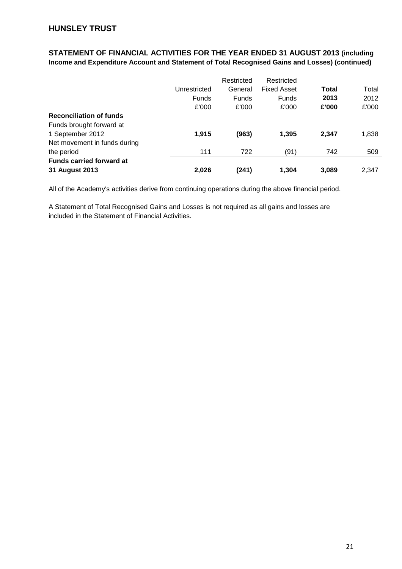# **STATEMENT OF FINANCIAL ACTIVITIES FOR THE YEAR ENDED 31 AUGUST 2013 (including Income and Expenditure Account and Statement of Total Recognised Gains and Losses) (continued)**

| 31 August 2013                  | 2,026        | (241)        | 1,304              | 3.089 | 2.347 |
|---------------------------------|--------------|--------------|--------------------|-------|-------|
| <b>Funds carried forward at</b> |              |              |                    |       |       |
| the period                      | 111          | 722          | (91)               | 742   | 509   |
| Net movement in funds during    |              |              |                    |       |       |
| 1 September 2012                | 1,915        | (963)        | 1.395              | 2.347 | 1,838 |
| Funds brought forward at        |              |              |                    |       |       |
| <b>Reconciliation of funds</b>  |              |              |                    |       |       |
|                                 | £'000        | £'000        | £'000              | £'000 | £'000 |
|                                 | <b>Funds</b> | <b>Funds</b> | <b>Funds</b>       | 2013  | 2012  |
|                                 | Unrestricted | General      | <b>Fixed Asset</b> | Total | Total |
|                                 |              | Restricted   | Restricted         |       |       |

All of the Academy's activities derive from continuing operations during the above financial period.

A Statement of Total Recognised Gains and Losses is not required as all gains and losses are included in the Statement of Financial Activities.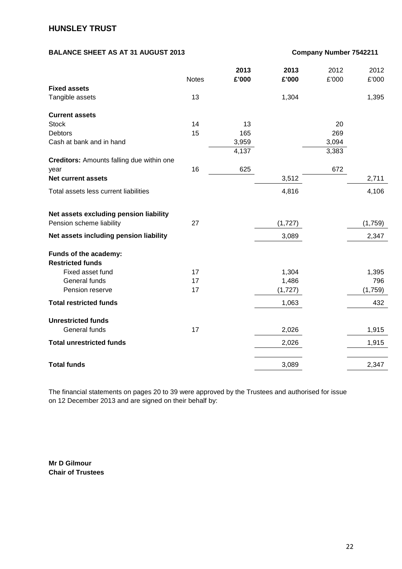## BALANCE SHEET AS AT 31 AUGUST 2013 Company Number 7542211

|                                                  |              | 2013  | 2013     | 2012  | 2012    |
|--------------------------------------------------|--------------|-------|----------|-------|---------|
|                                                  | <b>Notes</b> | £'000 | £'000    | £'000 | £'000   |
| <b>Fixed assets</b>                              |              |       |          |       |         |
| Tangible assets                                  | 13           |       | 1,304    |       | 1,395   |
| <b>Current assets</b>                            |              |       |          |       |         |
| <b>Stock</b>                                     | 14           | 13    |          | 20    |         |
| <b>Debtors</b>                                   | 15           | 165   |          | 269   |         |
| Cash at bank and in hand                         |              | 3,959 |          | 3,094 |         |
|                                                  |              | 4,137 |          | 3,383 |         |
| <b>Creditors:</b> Amounts falling due within one |              |       |          |       |         |
| year                                             | 16           | 625   |          | 672   |         |
| <b>Net current assets</b>                        |              |       | 3,512    |       | 2,711   |
| Total assets less current liabilities            |              |       | 4,816    |       | 4,106   |
| Net assets excluding pension liability           |              |       |          |       |         |
| Pension scheme liability                         | 27           |       | (1, 727) |       | (1,759) |
| Net assets including pension liability           |              |       | 3,089    |       | 2,347   |
| Funds of the academy:<br><b>Restricted funds</b> |              |       |          |       |         |
| Fixed asset fund                                 | 17           |       | 1,304    |       | 1,395   |
| General funds                                    | 17           |       | 1,486    |       | 796     |
| Pension reserve                                  | 17           |       | (1,727)  |       | (1,759) |
| <b>Total restricted funds</b>                    |              |       | 1,063    |       | 432     |
| <b>Unrestricted funds</b>                        |              |       |          |       |         |
| General funds                                    | 17           |       | 2,026    |       | 1,915   |
| <b>Total unrestricted funds</b>                  |              |       | 2,026    |       | 1,915   |
| <b>Total funds</b>                               |              |       | 3,089    |       | 2,347   |
|                                                  |              |       |          |       |         |

The financial statements on pages 20 to 39 were approved by the Trustees and authorised for issue on 12 December 2013 and are signed on their behalf by:

**Mr D Gilmour Chair of Trustees**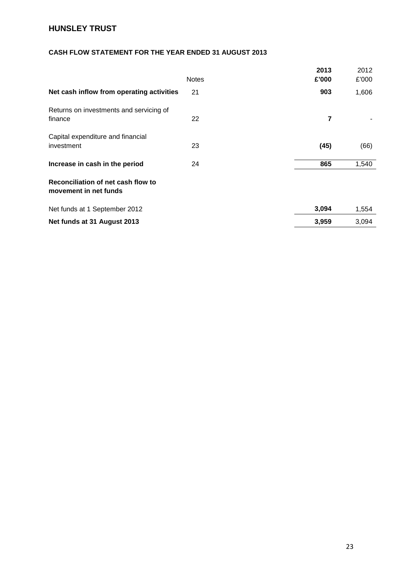# **CASH FLOW STATEMENT FOR THE YEAR ENDED 31 AUGUST 2013**

|                                                             | <b>Notes</b> | 2013<br>£'000 | 2012<br>£'000 |
|-------------------------------------------------------------|--------------|---------------|---------------|
| Net cash inflow from operating activities                   | 21           | 903           | 1,606         |
| Returns on investments and servicing of<br>finance          | 22           | 7             |               |
| Capital expenditure and financial<br>investment             | 23           | (45)          | (66)          |
| Increase in cash in the period                              | 24           | 865           | 1,540         |
| Reconciliation of net cash flow to<br>movement in net funds |              |               |               |
| Net funds at 1 September 2012                               |              | 3,094         | 1,554         |
| Net funds at 31 August 2013                                 |              | 3,959         | 3,094         |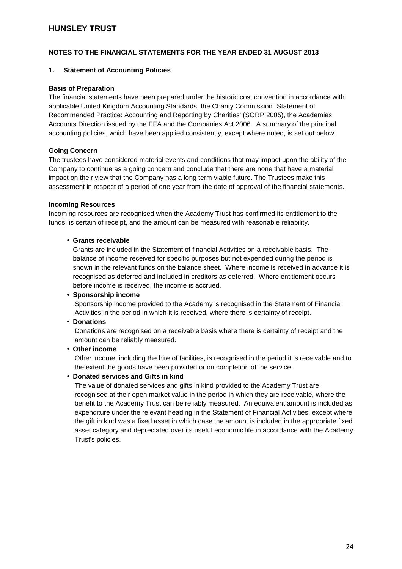## **NOTES TO THE FINANCIAL STATEMENTS FOR THE YEAR ENDED 31 AUGUST 2013**

#### **1. Statement of Accounting Policies**

#### **Basis of Preparation**

The financial statements have been prepared under the historic cost convention in accordance with applicable United Kingdom Accounting Standards, the Charity Commission "Statement of Recommended Practice: Accounting and Reporting by Charities' (SORP 2005), the Academies Accounts Direction issued by the EFA and the Companies Act 2006. A summary of the principal accounting policies, which have been applied consistently, except where noted, is set out below.

#### **Going Concern**

The trustees have considered material events and conditions that may impact upon the ability of the Company to continue as a going concern and conclude that there are none that have a material impact on their view that the Company has a long term viable future. The Trustees make this assessment in respect of a period of one year from the date of approval of the financial statements.

#### **Incoming Resources**

Incoming resources are recognised when the Academy Trust has confirmed its entitlement to the funds, is certain of receipt, and the amount can be measured with reasonable reliability.

#### • **Grants receivable**

Grants are included in the Statement of financial Activities on a receivable basis. The balance of income received for specific purposes but not expended during the period is shown in the relevant funds on the balance sheet. Where income is received in advance it is recognised as deferred and included in creditors as deferred. Where entitlement occurs before income is received, the income is accrued.

#### • **Sponsorship income**

Sponsorship income provided to the Academy is recognised in the Statement of Financial Activities in the period in which it is received, where there is certainty of receipt.

#### • **Donations**

Donations are recognised on a receivable basis where there is certainty of receipt and the amount can be reliably measured.

#### • **Other income**

Other income, including the hire of facilities, is recognised in the period it is receivable and to the extent the goods have been provided or on completion of the service.

#### • **Donated services and Gifts in kind**

The value of donated services and gifts in kind provided to the Academy Trust are recognised at their open market value in the period in which they are receivable, where the benefit to the Academy Trust can be reliably measured. An equivalent amount is included as expenditure under the relevant heading in the Statement of Financial Activities, except where the gift in kind was a fixed asset in which case the amount is included in the appropriate fixed asset category and depreciated over its useful economic life in accordance with the Academy Trust's policies.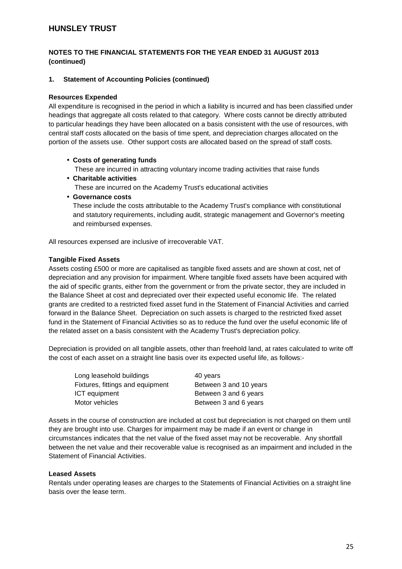## **NOTES TO THE FINANCIAL STATEMENTS FOR THE YEAR ENDED 31 AUGUST 2013 (continued)**

## **1. Statement of Accounting Policies (continued)**

## **Resources Expended**

All expenditure is recognised in the period in which a liability is incurred and has been classified under headings that aggregate all costs related to that category. Where costs cannot be directly attributed to particular headings they have been allocated on a basis consistent with the use of resources, with central staff costs allocated on the basis of time spent, and depreciation charges allocated on the portion of the assets use. Other support costs are allocated based on the spread of staff costs.

• **Costs of generating funds** 

These are incurred in attracting voluntary income trading activities that raise funds

- **Charitable activities**  These are incurred on the Academy Trust's educational activities
- **Governance costs**

These include the costs attributable to the Academy Trust's compliance with constitutional and statutory requirements, including audit, strategic management and Governor's meeting and reimbursed expenses.

All resources expensed are inclusive of irrecoverable VAT.

#### **Tangible Fixed Assets**

Assets costing £500 or more are capitalised as tangible fixed assets and are shown at cost, net of depreciation and any provision for impairment. Where tangible fixed assets have been acquired with the aid of specific grants, either from the government or from the private sector, they are included in the Balance Sheet at cost and depreciated over their expected useful economic life. The related grants are credited to a restricted fixed asset fund in the Statement of Financial Activities and carried forward in the Balance Sheet. Depreciation on such assets is charged to the restricted fixed asset fund in the Statement of Financial Activities so as to reduce the fund over the useful economic life of the related asset on a basis consistent with the Academy Trust's depreciation policy.

Depreciation is provided on all tangible assets, other than freehold land, at rates calculated to write off the cost of each asset on a straight line basis over its expected useful life, as follows:-

Long leasehold buildings 40 years Fixtures, fittings and equipment Between 3 and 10 years ICT equipment Between 3 and 6 years Motor vehicles **Between 3 and 6 years** Between 3 and 6 years

Assets in the course of construction are included at cost but depreciation is not charged on them until they are brought into use. Charges for impairment may be made if an event or change in circumstances indicates that the net value of the fixed asset may not be recoverable. Any shortfall between the net value and their recoverable value is recognised as an impairment and included in the Statement of Financial Activities.

#### **Leased Assets**

Rentals under operating leases are charges to the Statements of Financial Activities on a straight line basis over the lease term.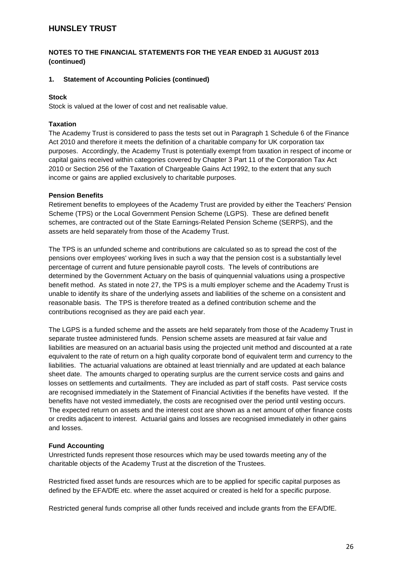## **NOTES TO THE FINANCIAL STATEMENTS FOR THE YEAR ENDED 31 AUGUST 2013 (continued)**

## **1. Statement of Accounting Policies (continued)**

## **Stock**

Stock is valued at the lower of cost and net realisable value.

## **Taxation**

The Academy Trust is considered to pass the tests set out in Paragraph 1 Schedule 6 of the Finance Act 2010 and therefore it meets the definition of a charitable company for UK corporation tax purposes. Accordingly, the Academy Trust is potentially exempt from taxation in respect of income or capital gains received within categories covered by Chapter 3 Part 11 of the Corporation Tax Act 2010 or Section 256 of the Taxation of Chargeable Gains Act 1992, to the extent that any such income or gains are applied exclusively to charitable purposes.

## **Pension Benefits**

Retirement benefits to employees of the Academy Trust are provided by either the Teachers' Pension Scheme (TPS) or the Local Government Pension Scheme (LGPS). These are defined benefit schemes, are contracted out of the State Earnings-Related Pension Scheme (SERPS), and the assets are held separately from those of the Academy Trust.

The TPS is an unfunded scheme and contributions are calculated so as to spread the cost of the pensions over employees' working lives in such a way that the pension cost is a substantially level percentage of current and future pensionable payroll costs. The levels of contributions are determined by the Government Actuary on the basis of quinquennial valuations using a prospective benefit method. As stated in note 27, the TPS is a multi employer scheme and the Academy Trust is unable to identify its share of the underlying assets and liabilities of the scheme on a consistent and reasonable basis. The TPS is therefore treated as a defined contribution scheme and the contributions recognised as they are paid each year.

The LGPS is a funded scheme and the assets are held separately from those of the Academy Trust in separate trustee administered funds. Pension scheme assets are measured at fair value and liabilities are measured on an actuarial basis using the projected unit method and discounted at a rate equivalent to the rate of return on a high quality corporate bond of equivalent term and currency to the liabilities. The actuarial valuations are obtained at least triennially and are updated at each balance sheet date. The amounts charged to operating surplus are the current service costs and gains and losses on settlements and curtailments. They are included as part of staff costs. Past service costs are recognised immediately in the Statement of Financial Activities if the benefits have vested. If the benefits have not vested immediately, the costs are recognised over the period until vesting occurs. The expected return on assets and the interest cost are shown as a net amount of other finance costs or credits adjacent to interest. Actuarial gains and losses are recognised immediately in other gains and losses.

## **Fund Accounting**

Unrestricted funds represent those resources which may be used towards meeting any of the charitable objects of the Academy Trust at the discretion of the Trustees.

Restricted fixed asset funds are resources which are to be applied for specific capital purposes as defined by the EFA/DfE etc. where the asset acquired or created is held for a specific purpose.

Restricted general funds comprise all other funds received and include grants from the EFA/DfE.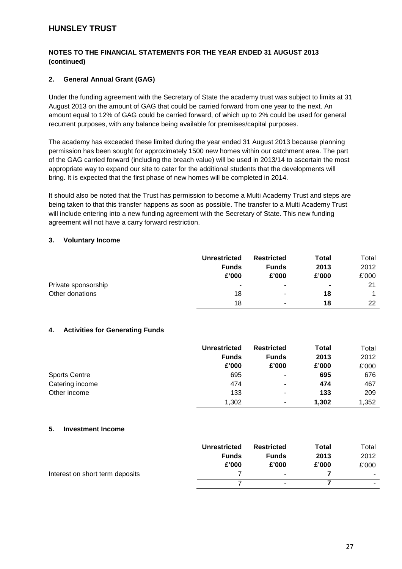## **NOTES TO THE FINANCIAL STATEMENTS FOR THE YEAR ENDED 31 AUGUST 2013 (continued)**

## **2. General Annual Grant (GAG)**

Under the funding agreement with the Secretary of State the academy trust was subject to limits at 31 August 2013 on the amount of GAG that could be carried forward from one year to the next. An amount equal to 12% of GAG could be carried forward, of which up to 2% could be used for general recurrent purposes, with any balance being available for premises/capital purposes.

The academy has exceeded these limited during the year ended 31 August 2013 because planning permission has been sought for approximately 1500 new homes within our catchment area. The part of the GAG carried forward (including the breach value) will be used in 2013/14 to ascertain the most appropriate way to expand our site to cater for the additional students that the developments will bring. It is expected that the first phase of new homes will be completed in 2014.

It should also be noted that the Trust has permission to become a Multi Academy Trust and steps are being taken to that this transfer happens as soon as possible. The transfer to a Multi Academy Trust will include entering into a new funding agreement with the Secretary of State. This new funding agreement will not have a carry forward restriction.

#### **3. Voluntary Income**

|                     | <b>Unrestricted</b><br><b>Funds</b><br>£'000 | <b>Restricted</b><br><b>Funds</b><br>£'000 | Total<br>2013<br>£'000 | Total<br>2012<br>£'000 |
|---------------------|----------------------------------------------|--------------------------------------------|------------------------|------------------------|
| Private sponsorship | ٠                                            | ٠                                          | $\blacksquare$         | 21                     |
| Other donations     | 18                                           | ٠                                          | 18                     |                        |
|                     | 18                                           | ٠                                          | 18                     | 22                     |

## **4. Activities for Generating Funds**

|                      | <b>Unrestricted</b> | <b>Restricted</b> | Total | Total |
|----------------------|---------------------|-------------------|-------|-------|
|                      | <b>Funds</b>        | <b>Funds</b>      | 2013  | 2012  |
|                      | £'000               | £'000             | £'000 | £'000 |
| <b>Sports Centre</b> | 695                 | ٠                 | 695   | 676   |
| Catering income      | 474                 | ٠                 | 474   | 467   |
| Other income         | 133                 | ٠                 | 133   | 209   |
|                      | 1,302               | -                 | 1,302 | 1,352 |

#### **5. Investment Income**

|                                 | <b>Unrestricted</b> | <b>Restricted</b>        | Total | Total                    |
|---------------------------------|---------------------|--------------------------|-------|--------------------------|
|                                 | <b>Funds</b>        | <b>Funds</b>             | 2013  | 2012                     |
|                                 | £'000               | £'000                    | £'000 | £'000                    |
| Interest on short term deposits |                     | $\overline{\phantom{a}}$ |       | $\overline{\phantom{a}}$ |
|                                 |                     | ۰                        |       | ۰.                       |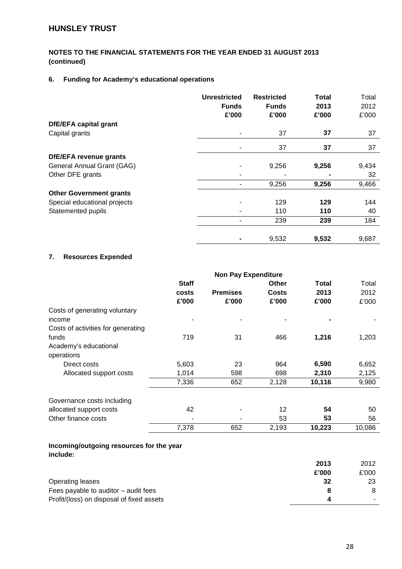# **NOTES TO THE FINANCIAL STATEMENTS FOR THE YEAR ENDED 31 AUGUST 2013 (continued)**

# **6. Funding for Academy's educational operations**

|                                | <b>Unrestricted</b><br><b>Funds</b><br>£'000 | <b>Restricted</b><br><b>Funds</b><br>£'000 | Total<br>2013<br>£'000 | Total<br>2012<br>£'000 |
|--------------------------------|----------------------------------------------|--------------------------------------------|------------------------|------------------------|
| DfE/EFA capital grant          |                                              |                                            |                        |                        |
| Capital grants                 | ٠                                            | 37                                         | 37                     | 37                     |
|                                | ٠                                            | 37                                         | 37                     | 37                     |
| DfE/EFA revenue grants         |                                              |                                            |                        |                        |
| General Annual Grant (GAG)     | ۰                                            | 9,256                                      | 9,256                  | 9,434                  |
| Other DFE grants               |                                              |                                            |                        | 32                     |
|                                | ۰                                            | 9,256                                      | 9,256                  | 9,466                  |
| <b>Other Government grants</b> |                                              |                                            |                        |                        |
| Special educational projects   | -                                            | 129                                        | 129                    | 144                    |
| Statemented pupils             |                                              | 110                                        | 110                    | 40                     |
|                                | ۰                                            | 239                                        | 239                    | 184                    |
|                                |                                              | 9,532                                      | 9,532                  | 9,687                  |

# **7. Resources Expended**

|                                    | <b>Non Pay Expenditure</b> |                 |              |              |        |
|------------------------------------|----------------------------|-----------------|--------------|--------------|--------|
|                                    | <b>Staff</b>               |                 | <b>Other</b> | <b>Total</b> | Total  |
|                                    | costs                      | <b>Premises</b> | <b>Costs</b> | 2013         | 2012   |
|                                    | £'000                      | £'000           | £'000        | £'000        | £'000  |
| Costs of generating voluntary      |                            |                 |              |              |        |
| income                             |                            |                 |              |              |        |
| Costs of activities for generating |                            |                 |              |              |        |
| funds                              | 719                        | 31              | 466          | 1,216        | 1,203  |
| Academy's educational              |                            |                 |              |              |        |
| operations                         |                            |                 |              |              |        |
| Direct costs                       | 5,603                      | 23              | 964          | 6,590        | 6,652  |
| Allocated support costs            | 1,014                      | 598             | 698          | 2,310        | 2,125  |
|                                    | 7,336                      | 652             | 2,128        | 10,116       | 9,980  |
| Governance costs including         |                            |                 |              |              |        |
| allocated support costs            | 42                         |                 | 12           | 54           | 50     |
| Other finance costs                |                            |                 | 53           | 53           | 56     |
|                                    | 7,378                      | 652             | 2,193        | 10,223       | 10,086 |

**Incoming/outgoing resources for the year include:** 

|                                           | 2013  | 2012  |
|-------------------------------------------|-------|-------|
|                                           | £'000 | £'000 |
| Operating leases                          | 32    | 23    |
| Fees payable to auditor – audit fees      | 8     | 8     |
| Profit/(loss) on disposal of fixed assets |       |       |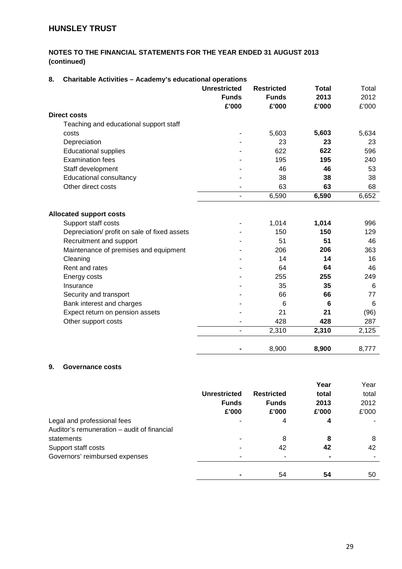## **NOTES TO THE FINANCIAL STATEMENTS FOR THE YEAR ENDED 31 AUGUST 2013 (continued)**

#### **8. Charitable Activities – Academy's educational operations Unrestricted Funds £'000 Restricted Funds £'000 Total 2013 £'000** Total 2012 £'000 **Direct costs**  Teaching and educational support staff costs - 5,603 **5,603** 5,634 Depreciation - 23 **23** 23 Educational supplies - 622 **622** 596 Examination fees - 195 **195** 240 Staff development 53 Educational consultancy - 38 **38** 38 Other direct costs 68 68 **63** 68 - 6,590 **6,590** 6,652 **Allocated support costs**  Support staff costs - 1,014 **1,014** 996 Depreciation/ profit on sale of fixed assets **150** 129 Recruitment and support **1996 1997 1997 1998 1997 1998 1998 1998 1998 1998 1998 1999 1999 1999 1999 1999 1999 1999 1999 1999 1999 1999 1999 1999 1999 1999 1999 1999 1** Maintenance of premises and equipment  $\overline{a}$  and  $\overline{a}$  206 **206** 363 Cleaning - 14 **14** 16 Rent and rates - 64 **64** 46 Energy costs - 255 **255** 249 Insurance - 35 **35** 6 Security and transport **66 66 66** 77 Bank interest and charges **6 6 6 6 6 6 6 6** Expect return on pension assets **21 21** (96) Other support costs **128** 287 - 2,310 **2,310** 2,125 **-** 8,900 **8,900** 8,777

#### **9. Governance costs**

|                     |                   | Year  | Year  |
|---------------------|-------------------|-------|-------|
| <b>Unrestricted</b> | <b>Restricted</b> | total | total |
| <b>Funds</b>        | <b>Funds</b>      | 2013  | 2012  |
| £'000               | £'000             | £'000 | £'000 |
|                     | 4                 | 4     |       |
|                     |                   |       |       |
|                     | 8                 | 8     | 8     |
| ۰                   | 42                | 42    | 42    |
|                     | ٠                 |       |       |
|                     |                   |       | 50    |
|                     |                   | 54    | 54    |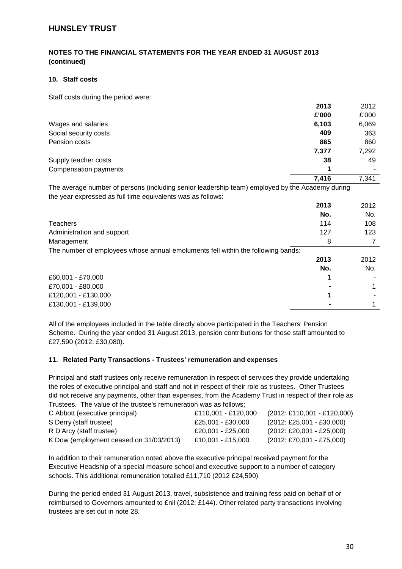## **NOTES TO THE FINANCIAL STATEMENTS FOR THE YEAR ENDED 31 AUGUST 2013 (continued)**

## **10. Staff costs**

Staff costs during the period were:

|                                                                                                 | 2013  | 2012           |
|-------------------------------------------------------------------------------------------------|-------|----------------|
|                                                                                                 | £'000 | £'000          |
| Wages and salaries                                                                              | 6,103 | 6,069          |
| Social security costs                                                                           | 409   | 363            |
| Pension costs                                                                                   | 865   | 860            |
|                                                                                                 | 7,377 | 7,292          |
| Supply teacher costs                                                                            | 38    | 49             |
| Compensation payments                                                                           |       |                |
|                                                                                                 | 7,416 | 7,341          |
| The average number of persons (including senior leadership team) employed by the Academy during |       |                |
| the year expressed as full time equivalents was as follows:                                     |       |                |
|                                                                                                 | 2013  | 2012           |
|                                                                                                 | No.   | No.            |
| <b>Teachers</b>                                                                                 | 114   | 108            |
| Administration and support                                                                      | 127   | 123            |
| Management                                                                                      | 8     | $\overline{7}$ |
| The number of employees whose annual emoluments fell within the following bands:                |       |                |
|                                                                                                 | 2013  | 2012           |
|                                                                                                 | No.   | No.            |
| £60,001 - £70,000                                                                               |       |                |
| £70,001 - £80,000                                                                               |       |                |
| £120,001 - £130,000                                                                             |       |                |
| £130,001 - £139,000                                                                             |       | 1              |

All of the employees included in the table directly above participated in the Teachers' Pension Scheme. During the year ended 31 August 2013, pension contributions for these staff amounted to £27,590 (2012: £30,080).

## **11. Related Party Transactions - Trustees' remuneration and expenses**

Principal and staff trustees only receive remuneration in respect of services they provide undertaking the roles of executive principal and staff and not in respect of their role as trustees. Other Trustees did not receive any payments, other than expenses, from the Academy Trust in respect of their role as Trustees. The value of the trustee's remuneration was as follows;

| C Abbott (executive principal)          | £110,001 - £120,000 | (2012: £110,001 - £120,000)                                       |
|-----------------------------------------|---------------------|-------------------------------------------------------------------|
| S Derry (staff trustee)                 | £25,001 - £30,000   | $(2012: \text{\textsterling}25.001 - \text{\textsterling}30.000)$ |
| R D'Arcy (staff trustee)                | £20.001 - £25.000   | (2012: £20,001 - £25,000)                                         |
| K Dow (employment ceased on 31/03/2013) | £10.001 - £15.000   | (2012: £70,001 - £75,000)                                         |

In addition to their remuneration noted above the executive principal received payment for the Executive Headship of a special measure school and executive support to a number of category schools. This additional remuneration totalled £11,710 (2012 £24,590)

During the period ended 31 August 2013, travel, subsistence and training fess paid on behalf of or reimbursed to Governors amounted to £nil (2012: £144). Other related party transactions involving trustees are set out in note 28.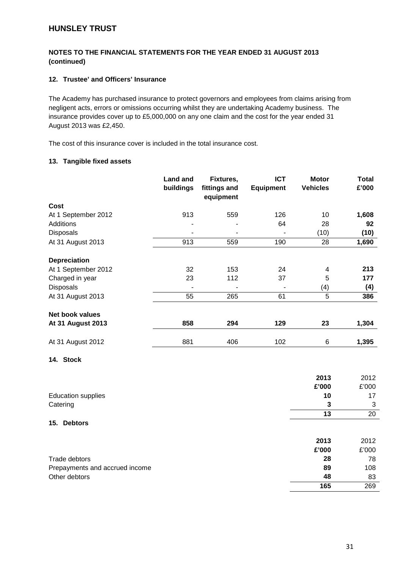## **NOTES TO THE FINANCIAL STATEMENTS FOR THE YEAR ENDED 31 AUGUST 2013 (continued)**

## **12. Trustee' and Officers' Insurance**

The Academy has purchased insurance to protect governors and employees from claims arising from negligent acts, errors or omissions occurring whilst they are undertaking Academy business. The insurance provides cover up to £5,000,000 on any one claim and the cost for the year ended 31 August 2013 was £2,450.

The cost of this insurance cover is included in the total insurance cost.

#### **13. Tangible fixed assets**

|                     | <b>Land and</b> | Fixtures,                 | <b>ICT</b>       | <b>Motor</b>    | Total |
|---------------------|-----------------|---------------------------|------------------|-----------------|-------|
|                     | buildings       | fittings and<br>equipment | <b>Equipment</b> | <b>Vehicles</b> | £'000 |
| Cost                |                 |                           |                  |                 |       |
| At 1 September 2012 | 913             | 559                       | 126              | 10              | 1,608 |
| Additions           |                 |                           | 64               | 28              | 92    |
| <b>Disposals</b>    |                 |                           |                  | (10)            | (10)  |
| At 31 August 2013   | 913             | 559                       | 190              | 28              | 1,690 |
| <b>Depreciation</b> |                 |                           |                  |                 |       |
| At 1 September 2012 | 32              | 153                       | 24               | 4               | 213   |
| Charged in year     | 23              | 112                       | 37               | 5               | 177   |
| <b>Disposals</b>    |                 |                           |                  | (4)             | (4)   |
| At 31 August 2013   | 55              | 265                       | 61               | 5               | 386   |
| Net book values     |                 |                           |                  |                 |       |
| At 31 August 2013   | 858             | 294                       | 129              | 23              | 1,304 |
| At 31 August 2012   | 881             | 406                       | 102              | 6               | 1,395 |
| 14. Stock           |                 |                           |                  |                 |       |

|                                | 2013  | 2012  |
|--------------------------------|-------|-------|
|                                | £'000 | £'000 |
| <b>Education supplies</b>      | 10    | 17    |
| Catering                       | 3     | 3     |
|                                | 13    | 20    |
| <b>Debtors</b><br>15.          |       |       |
|                                | 2013  | 2012  |
|                                | £'000 | £'000 |
| Trade debtors                  | 28    | 78    |
| Prepayments and accrued income | 89    | 108   |
| Other debtors                  | 48    | 83    |
|                                | 165   | 269   |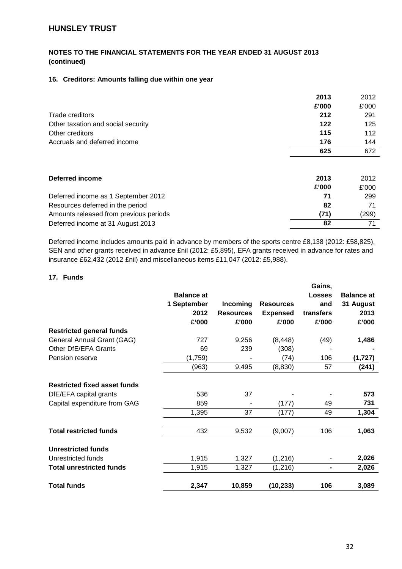## **NOTES TO THE FINANCIAL STATEMENTS FOR THE YEAR ENDED 31 AUGUST 2013 (continued)**

## **16. Creditors: Amounts falling due within one year**

|                                        | 2013  | 2012  |
|----------------------------------------|-------|-------|
|                                        | £'000 | £'000 |
| Trade creditors                        | 212   | 291   |
| Other taxation and social security     | 122   | 125   |
| Other creditors                        | 115   | 112   |
| Accruals and deferred income           | 176   | 144   |
|                                        | 625   | 672   |
|                                        |       |       |
| <b>Deferred income</b>                 | 2013  | 2012  |
|                                        | £'000 | £'000 |
| Deferred income as 1 September 2012    | 71    | 299   |
| Resources deferred in the period       | 82    | 71    |
| Amounts released from previous periods | (71)  | (299) |
| Deferred income at 31 August 2013      | 82    | 71    |

Deferred income includes amounts paid in advance by members of the sports centre £8,138 (2012: £58,825), SEN and other grants received in advance £nil (2012: £5,895), EFA grants received in advance for rates and insurance £62,432 (2012 £nil) and miscellaneous items £11,047 (2012: £5,988).

## **17. Funds**

|                                     |                   |                  |                  | Gains,         |                   |
|-------------------------------------|-------------------|------------------|------------------|----------------|-------------------|
|                                     | <b>Balance at</b> |                  |                  | <b>Losses</b>  | <b>Balance at</b> |
|                                     | 1 September       | Incoming         | <b>Resources</b> | and            | 31 August         |
|                                     | 2012              | <b>Resources</b> | <b>Expensed</b>  | transfers      | 2013              |
|                                     | £'000             | £'000            | £'000            | £'000          | £'000             |
| <b>Restricted general funds</b>     |                   |                  |                  |                |                   |
| General Annual Grant (GAG)          | 727               | 9,256            | (8, 448)         | (49)           | 1,486             |
| Other DfE/EFA Grants                | 69                | 239              | (308)            |                |                   |
| Pension reserve                     | (1,759)           |                  | (74)             | 106            | (1, 727)          |
|                                     | (963)             | 9,495            | (8,830)          | 57             | (241)             |
| <b>Restricted fixed asset funds</b> |                   |                  |                  |                |                   |
| DfE/EFA capital grants              | 536               | 37               |                  |                | 573               |
| Capital expenditure from GAG        | 859               |                  | (177)            | 49             | 731               |
|                                     | 1,395             | 37               | (177)            | 49             | 1,304             |
| <b>Total restricted funds</b>       | 432               | 9,532            | (9,007)          | 106            | 1,063             |
|                                     |                   |                  |                  |                |                   |
| <b>Unrestricted funds</b>           |                   |                  |                  |                |                   |
| Unrestricted funds                  | 1,915             | 1,327            | (1,216)          |                | 2,026             |
| <b>Total unrestricted funds</b>     | 1,915             | 1,327            | (1,216)          | $\blacksquare$ | 2,026             |
| <b>Total funds</b>                  | 2,347             | 10,859           | (10, 233)        | 106            | 3,089             |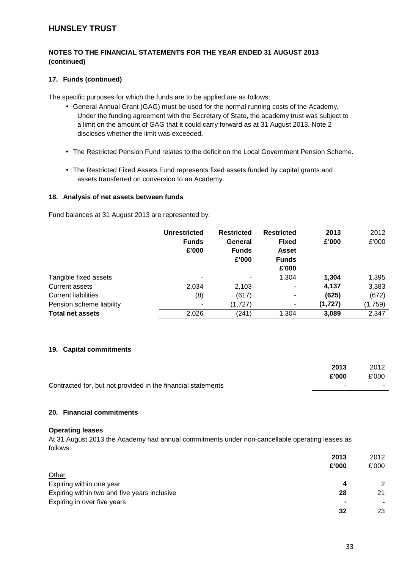## **NOTES TO THE FINANCIAL STATEMENTS FOR THE YEAR ENDED 31 AUGUST 2013 (continued)**

## **17. Funds (continued)**

The specific purposes for which the funds are to be applied are as follows:

- General Annual Grant (GAG) must be used for the normal running costs of the Academy. Under the funding agreement with the Secretary of State, the academy trust was subject to a limit on the amount of GAG that it could carry forward as at 31 August 2013. Note 2 discloses whether the limit was exceeded.
- The Restricted Pension Fund relates to the deficit on the Local Government Pension Scheme.
- The Restricted Fixed Assets Fund represents fixed assets funded by capital grants and assets transferred on conversion to an Academy.

#### **18. Analysis of net assets between funds**

Fund balances at 31 August 2013 are represented by:

|                            | <b>Unrestricted</b><br><b>Funds</b><br>£'000 | <b>Restricted</b><br>General<br><b>Funds</b><br>£'000 | <b>Restricted</b><br>Fixed<br><b>Asset</b><br><b>Funds</b><br>£'000 | 2013<br>£'000 | 2012<br>£'000 |
|----------------------------|----------------------------------------------|-------------------------------------------------------|---------------------------------------------------------------------|---------------|---------------|
| Tangible fixed assets      | ۰                                            | ٠                                                     | 1.304                                                               | 1.304         | 1,395         |
| <b>Current assets</b>      | 2,034                                        | 2,103                                                 | ٠                                                                   | 4,137         | 3,383         |
| <b>Current liabilities</b> | (8)                                          | (617)                                                 | $\blacksquare$                                                      | (625)         | (672)         |
| Pension scheme liability   | -                                            | (1,727)                                               | ۰                                                                   | (1,727)       | (1,759)       |
| <b>Total net assets</b>    | 2,026                                        | (241)                                                 | 1,304                                                               | 3,089         | 2,347         |

#### **19. Capital commitments**

|                                                              | 2013  | 2012  |
|--------------------------------------------------------------|-------|-------|
|                                                              | £'000 | £'000 |
| Contracted for, but not provided in the financial statements |       |       |

#### **20. Financial commitments**

#### **Operating leases**

At 31 August 2013 the Academy had annual commitments under non-cancellable operating leases as follows:

|                                              | 2013  | 2012  |
|----------------------------------------------|-------|-------|
|                                              | £'000 | £'000 |
| Other                                        |       |       |
| Expiring within one year                     |       |       |
| Expiring within two and five years inclusive | 28    | 21    |
| Expiring in over five years                  |       |       |
|                                              | 32    | 23    |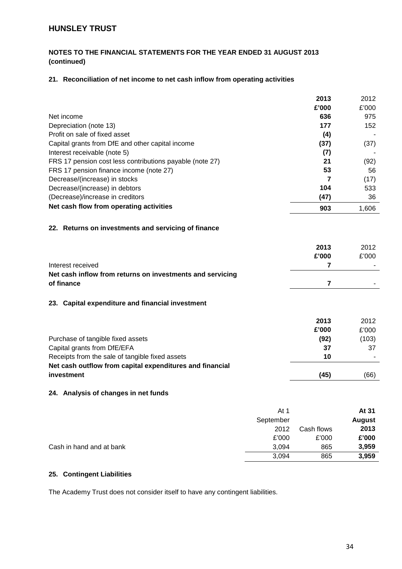## **NOTES TO THE FINANCIAL STATEMENTS FOR THE YEAR ENDED 31 AUGUST 2013 (continued)**

## **21. Reconciliation of net income to net cash inflow from operating activities**

|                                                           |           | 2013       | 2012          |
|-----------------------------------------------------------|-----------|------------|---------------|
|                                                           |           | £'000      | £'000         |
| Net income                                                |           | 636        | 975           |
| Depreciation (note 13)                                    |           | 177        | 152           |
| Profit on sale of fixed asset                             |           | (4)        |               |
| Capital grants from DfE and other capital income          |           | (37)       | (37)          |
| Interest receivable (note 5)                              |           | (7)        |               |
| FRS 17 pension cost less contributions payable (note 27)  |           | 21<br>53   | (92)          |
| FRS 17 pension finance income (note 27)                   |           | 7          | 56            |
| Decrease/(increase) in stocks                             |           |            | (17)          |
| Decrease/(increase) in debtors                            |           | 104        | 533           |
| (Decrease)/increase in creditors                          |           | (47)       | 36            |
| Net cash flow from operating activities                   |           | 903        | 1,606         |
| 22. Returns on investments and servicing of finance       |           |            |               |
|                                                           |           | 2013       | 2012          |
|                                                           |           | £'000      | £'000         |
| Interest received                                         |           | 7          |               |
| Net cash inflow from returns on investments and servicing |           |            |               |
| of finance                                                |           | 7          |               |
| 23. Capital expenditure and financial investment          |           |            |               |
|                                                           |           | 2013       | 2012          |
|                                                           |           | £'000      | £'000         |
| Purchase of tangible fixed assets                         |           | (92)       | (103)         |
| Capital grants from DfE/EFA                               |           | 37         | 37            |
| Receipts from the sale of tangible fixed assets           |           | 10         |               |
| Net cash outflow from capital expenditures and financial  |           |            |               |
| investment                                                |           | (45)       | (66)          |
| 24. Analysis of changes in net funds                      |           |            |               |
|                                                           | At 1      |            | At 31         |
|                                                           | September |            | <b>August</b> |
|                                                           | 2012      | Cash flows | 2013          |

|                          | ---   | --  | ---   |
|--------------------------|-------|-----|-------|
| Cash in hand and at bank | 3.094 | 865 | 3,959 |

## **25. Contingent Liabilities**

The Academy Trust does not consider itself to have any contingent liabilities.

**£'000**

£'000

£'000

3,094 865 **3,959**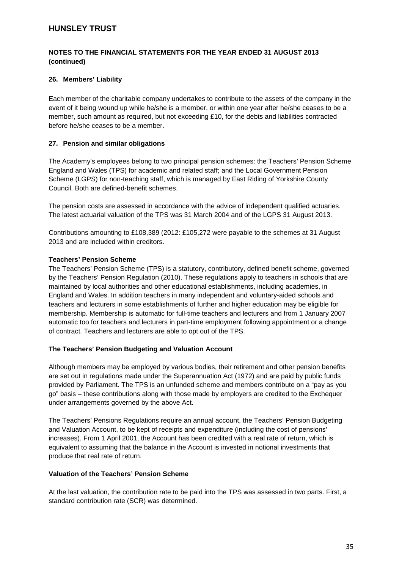## **NOTES TO THE FINANCIAL STATEMENTS FOR THE YEAR ENDED 31 AUGUST 2013 (continued)**

## **26. Members' Liability**

Each member of the charitable company undertakes to contribute to the assets of the company in the event of it being wound up while he/she is a member, or within one year after he/she ceases to be a member, such amount as required, but not exceeding £10, for the debts and liabilities contracted before he/she ceases to be a member.

## **27. Pension and similar obligations**

The Academy's employees belong to two principal pension schemes: the Teachers' Pension Scheme England and Wales (TPS) for academic and related staff; and the Local Government Pension Scheme (LGPS) for non-teaching staff, which is managed by East Riding of Yorkshire County Council. Both are defined-benefit schemes.

The pension costs are assessed in accordance with the advice of independent qualified actuaries. The latest actuarial valuation of the TPS was 31 March 2004 and of the LGPS 31 August 2013.

Contributions amounting to £108,389 (2012: £105,272 were payable to the schemes at 31 August 2013 and are included within creditors.

## **Teachers' Pension Scheme**

The Teachers' Pension Scheme (TPS) is a statutory, contributory, defined benefit scheme, governed by the Teachers' Pension Regulation (2010). These regulations apply to teachers in schools that are maintained by local authorities and other educational establishments, including academies, in England and Wales. In addition teachers in many independent and voluntary-aided schools and teachers and lecturers in some establishments of further and higher education may be eligible for membership. Membership is automatic for full-time teachers and lecturers and from 1 January 2007 automatic too for teachers and lecturers in part-time employment following appointment or a change of contract. Teachers and lecturers are able to opt out of the TPS.

## **The Teachers' Pension Budgeting and Valuation Account**

Although members may be employed by various bodies, their retirement and other pension benefits are set out in regulations made under the Superannuation Act (1972) and are paid by public funds provided by Parliament. The TPS is an unfunded scheme and members contribute on a "pay as you go" basis – these contributions along with those made by employers are credited to the Exchequer under arrangements governed by the above Act.

The Teachers' Pensions Regulations require an annual account, the Teachers' Pension Budgeting and Valuation Account, to be kept of receipts and expenditure (including the cost of pensions' increases). From 1 April 2001, the Account has been credited with a real rate of return, which is equivalent to assuming that the balance in the Account is invested in notional investments that produce that real rate of return.

## **Valuation of the Teachers' Pension Scheme**

At the last valuation, the contribution rate to be paid into the TPS was assessed in two parts. First, a standard contribution rate (SCR) was determined.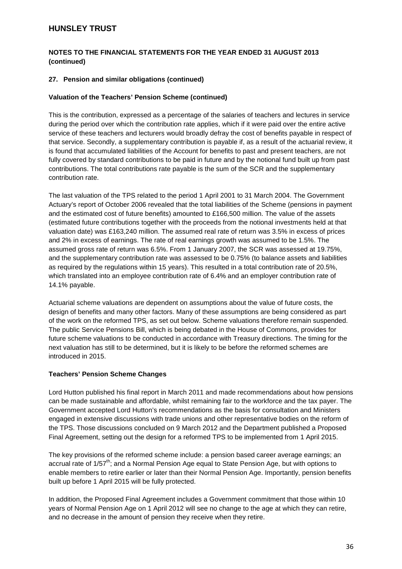## **NOTES TO THE FINANCIAL STATEMENTS FOR THE YEAR ENDED 31 AUGUST 2013 (continued)**

## **27. Pension and similar obligations (continued)**

## **Valuation of the Teachers' Pension Scheme (continued)**

This is the contribution, expressed as a percentage of the salaries of teachers and lectures in service during the period over which the contribution rate applies, which if it were paid over the entire active service of these teachers and lecturers would broadly defray the cost of benefits payable in respect of that service. Secondly, a supplementary contribution is payable if, as a result of the actuarial review, it is found that accumulated liabilities of the Account for benefits to past and present teachers, are not fully covered by standard contributions to be paid in future and by the notional fund built up from past contributions. The total contributions rate payable is the sum of the SCR and the supplementary contribution rate.

The last valuation of the TPS related to the period 1 April 2001 to 31 March 2004. The Government Actuary's report of October 2006 revealed that the total liabilities of the Scheme (pensions in payment and the estimated cost of future benefits) amounted to £166,500 million. The value of the assets (estimated future contributions together with the proceeds from the notional investments held at that valuation date) was £163,240 million. The assumed real rate of return was 3.5% in excess of prices and 2% in excess of earnings. The rate of real earnings growth was assumed to be 1.5%. The assumed gross rate of return was 6.5%. From 1 January 2007, the SCR was assessed at 19.75%, and the supplementary contribution rate was assessed to be 0.75% (to balance assets and liabilities as required by the regulations within 15 years). This resulted in a total contribution rate of 20.5%, which translated into an employee contribution rate of 6.4% and an employer contribution rate of 14.1% payable.

Actuarial scheme valuations are dependent on assumptions about the value of future costs, the design of benefits and many other factors. Many of these assumptions are being considered as part of the work on the reformed TPS, as set out below. Scheme valuations therefore remain suspended. The public Service Pensions Bill, which is being debated in the House of Commons, provides for future scheme valuations to be conducted in accordance with Treasury directions. The timing for the next valuation has still to be determined, but it is likely to be before the reformed schemes are introduced in 2015.

#### **Teachers' Pension Scheme Changes**

Lord Hutton published his final report in March 2011 and made recommendations about how pensions can be made sustainable and affordable, whilst remaining fair to the workforce and the tax payer. The Government accepted Lord Hutton's recommendations as the basis for consultation and Ministers engaged in extensive discussions with trade unions and other representative bodies on the reform of the TPS. Those discussions concluded on 9 March 2012 and the Department published a Proposed Final Agreement, setting out the design for a reformed TPS to be implemented from 1 April 2015.

The key provisions of the reformed scheme include: a pension based career average earnings; an accrual rate of 1/57<sup>th</sup>; and a Normal Pension Age equal to State Pension Age, but with options to enable members to retire earlier or later than their Normal Pension Age. Importantly, pension benefits built up before 1 April 2015 will be fully protected.

In addition, the Proposed Final Agreement includes a Government commitment that those within 10 years of Normal Pension Age on 1 April 2012 will see no change to the age at which they can retire, and no decrease in the amount of pension they receive when they retire.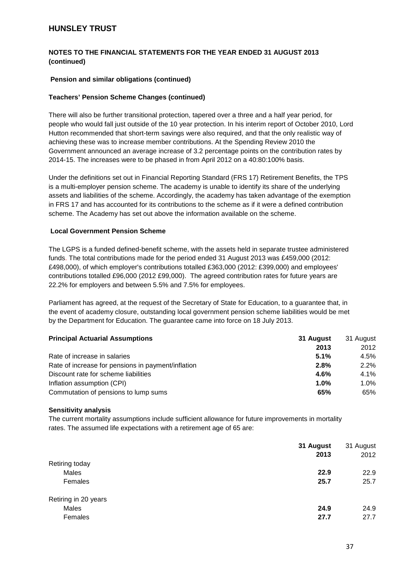## **NOTES TO THE FINANCIAL STATEMENTS FOR THE YEAR ENDED 31 AUGUST 2013 (continued)**

## **Pension and similar obligations (continued)**

## **Teachers' Pension Scheme Changes (continued)**

There will also be further transitional protection, tapered over a three and a half year period, for people who would fall just outside of the 10 year protection. In his interim report of October 2010, Lord Hutton recommended that short-term savings were also required, and that the only realistic way of achieving these was to increase member contributions. At the Spending Review 2010 the Government announced an average increase of 3.2 percentage points on the contribution rates by 2014-15. The increases were to be phased in from April 2012 on a 40:80:100% basis.

Under the definitions set out in Financial Reporting Standard (FRS 17) Retirement Benefits, the TPS is a multi-employer pension scheme. The academy is unable to identify its share of the underlying assets and liabilities of the scheme. Accordingly, the academy has taken advantage of the exemption in FRS 17 and has accounted for its contributions to the scheme as if it were a defined contribution scheme. The Academy has set out above the information available on the scheme.

#### **Local Government Pension Scheme**

The LGPS is a funded defined-benefit scheme, with the assets held in separate trustee administered funds. The total contributions made for the period ended 31 August 2013 was £459,000 (2012: £498,000), of which employer's contributions totalled £363,000 (2012: £399,000) and employees' contributions totalled £96,000 (2012 £99,000). The agreed contribution rates for future years are 22.2% for employers and between 5.5% and 7.5% for employees.

Parliament has agreed, at the request of the Secretary of State for Education, to a guarantee that, in the event of academy closure, outstanding local government pension scheme liabilities would be met by the Department for Education. The guarantee came into force on 18 July 2013.

| <b>Principal Actuarial Assumptions</b>             | 31 August | 31 August |
|----------------------------------------------------|-----------|-----------|
|                                                    | 2013      | 2012      |
| Rate of increase in salaries                       | 5.1%      | 4.5%      |
| Rate of increase for pensions in payment/inflation | 2.8%      | $2.2\%$   |
| Discount rate for scheme liabilities               | 4.6%      | $4.1\%$   |
| Inflation assumption (CPI)                         | $1.0\%$   | $1.0\%$   |
| Commutation of pensions to lump sums               | 65%       | 65%       |

#### **Sensitivity analysis**

The current mortality assumptions include sufficient allowance for future improvements in mortality rates. The assumed life expectations with a retirement age of 65 are:

|                      | 31 August | 31 August |
|----------------------|-----------|-----------|
|                      | 2013      | 2012      |
| Retiring today       |           |           |
| Males                | 22.9      | 22.9      |
| Females              | 25.7      | 25.7      |
| Retiring in 20 years |           |           |
| Males                | 24.9      | 24.9      |
| Females              | 27.7      | 27.7      |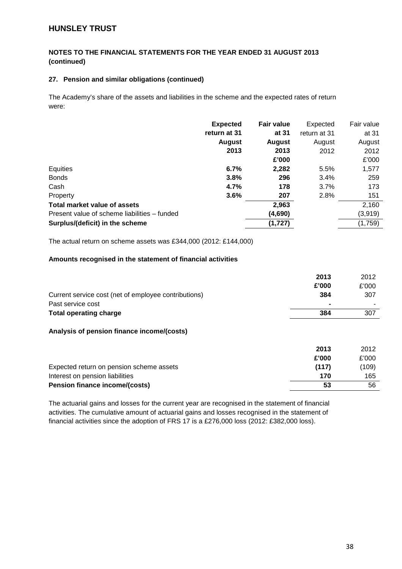## **NOTES TO THE FINANCIAL STATEMENTS FOR THE YEAR ENDED 31 AUGUST 2013 (continued)**

## **27. Pension and similar obligations (continued)**

The Academy's share of the assets and liabilities in the scheme and the expected rates of return were:

|                                              | <b>Expected</b> | <b>Fair value</b> | Expected     | Fair value |
|----------------------------------------------|-----------------|-------------------|--------------|------------|
|                                              | return at 31    | at 31             | return at 31 | at 31      |
|                                              | August          | August            | August       | August     |
|                                              | 2013            | 2013              | 2012         | 2012       |
|                                              |                 | £'000             |              | £'000      |
| <b>Equities</b>                              | 6.7%            | 2,282             | 5.5%         | 1,577      |
| <b>Bonds</b>                                 | 3.8%            | 296               | 3.4%         | 259        |
| Cash                                         | 4.7%            | 178               | 3.7%         | 173        |
| Property                                     | 3.6%            | 207               | 2.8%         | 151        |
| Total market value of assets                 |                 | 2,963             |              | 2,160      |
| Present value of scheme liabilities – funded |                 | (4,690)           |              | (3,919)    |
| Surplus/(deficit) in the scheme              |                 | (1, 727)          |              | (1,759)    |

The actual return on scheme assets was £344,000 (2012: £144,000)

## **Amounts recognised in the statement of financial activities**

|                                                      | 2013           | 2012  |
|------------------------------------------------------|----------------|-------|
|                                                      | £'000          | £'000 |
| Current service cost (net of employee contributions) | 384            | 307   |
| Past service cost                                    | $\blacksquare$ |       |
| <b>Total operating charge</b>                        | 384            | 307   |

#### **Analysis of pension finance income/(costs)**

|                                          | 2013  | 2012  |
|------------------------------------------|-------|-------|
|                                          | £'000 | £'000 |
| Expected return on pension scheme assets | (117) | (109) |
| Interest on pension liabilities          | 170   | 165   |
| <b>Pension finance income/(costs)</b>    | 53    | 56    |

The actuarial gains and losses for the current year are recognised in the statement of financial activities. The cumulative amount of actuarial gains and losses recognised in the statement of financial activities since the adoption of FRS 17 is a £276,000 loss (2012: £382,000 loss).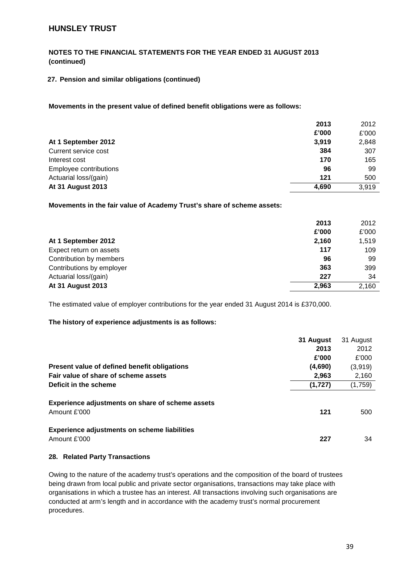## **NOTES TO THE FINANCIAL STATEMENTS FOR THE YEAR ENDED 31 AUGUST 2013 (continued)**

## **27. Pension and similar obligations (continued)**

**Movements in the present value of defined benefit obligations were as follows:** 

|                          | 2013  | 2012  |
|--------------------------|-------|-------|
|                          | £'000 | £'000 |
| At 1 September 2012      | 3,919 | 2,848 |
| Current service cost     | 384   | 307   |
| Interest cost            | 170   | 165   |
| Employee contributions   | 96    | 99    |
| Actuarial loss/(gain)    | 121   | 500   |
| <b>At 31 August 2013</b> | 4,690 | 3,919 |

**Movements in the fair value of Academy Trust's share of scheme assets:** 

|                           | 2013  | 2012  |
|---------------------------|-------|-------|
|                           | £'000 | £'000 |
| At 1 September 2012       | 2,160 | 1,519 |
| Expect return on assets   | 117   | 109   |
| Contribution by members   | 96    | 99    |
| Contributions by employer | 363   | 399   |
| Actuarial loss/(gain)     | 227   | 34    |
| <b>At 31 August 2013</b>  | 2.963 | 2,160 |

The estimated value of employer contributions for the year ended 31 August 2014 is £370,000.

## **The history of experience adjustments is as follows:**

|                                                     | 31 August | 31 August |
|-----------------------------------------------------|-----------|-----------|
|                                                     | 2013      | 2012      |
|                                                     | £'000     | £'000     |
| Present value of defined benefit obligations        | (4,690)   | (3,919)   |
| Fair value of share of scheme assets                | 2,963     | 2,160     |
| Deficit in the scheme                               | (1,727)   | (1,759)   |
| Experience adjustments on share of scheme assets    |           |           |
| Amount £'000                                        | 121       | 500       |
| <b>Experience adjustments on scheme liabilities</b> |           |           |
| Amount £'000                                        | 227       | 34        |

#### **28. Related Party Transactions**

Owing to the nature of the academy trust's operations and the composition of the board of trustees being drawn from local public and private sector organisations, transactions may take place with organisations in which a trustee has an interest. All transactions involving such organisations are conducted at arm's length and in accordance with the academy trust's normal procurement procedures.